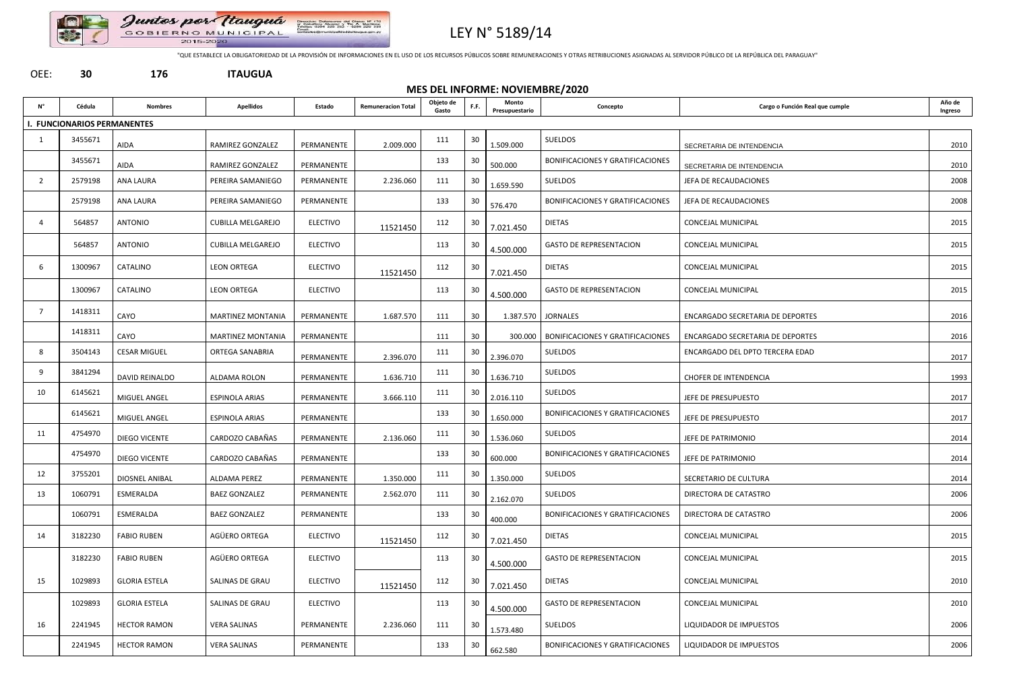

# LEY N° 5189/14

"QUE ESTABLECE LA OBLIGATORIEDAD DE LA PROVISIÓN DE INFORMACIONES EN EL USO DE LOS RECURSOS PÚBLICOS SOBRE REMUNERACIONES Y OTRAS RETRIBUCIONES ASIGNADAS AL SERVIDOR PÚBLICO DE LA REPÚBLICA DEL PARAGUAY"

#### OEE: **30 176 ITAUGUA**

### **MES DEL INFORME: NOVIEMBRE/2020**

| Ν°             | Cédula                      | <b>Nombres</b>       | <b>Apellidos</b>         | Estado          | <b>Remuneracion Total</b> | Objeto de<br>Gasto | F.F. | Monto<br>Presupuestario | Concepto                                | Cargo o Función Real que cumple         | Año de<br>Ingreso |
|----------------|-----------------------------|----------------------|--------------------------|-----------------|---------------------------|--------------------|------|-------------------------|-----------------------------------------|-----------------------------------------|-------------------|
|                | I. FUNCIONARIOS PERMANENTES |                      |                          |                 |                           |                    |      |                         |                                         |                                         |                   |
| 1              | 3455671                     | AIDA                 | RAMIREZ GONZALEZ         | PERMANENTE      | 2.009.000                 | 111                | 30   | 1.509.000               | SUELDOS                                 | SECRETARIA DE INTENDENCIA               | 2010              |
|                | 3455671                     | <b>AIDA</b>          | RAMIREZ GONZALEZ         | PERMANENTE      |                           | 133                | 30   | 500.000                 | <b>BONIFICACIONES Y GRATIFICACIONES</b> | SECRETARIA DE INTENDENCIA               | 2010              |
| $\overline{2}$ | 2579198                     | ANA LAURA            | PEREIRA SAMANIEGO        | PERMANENTE      | 2.236.060                 | 111                | 30   | 1.659.590               | SUELDOS                                 | JEFA DE RECAUDACIONES                   | 2008              |
|                | 2579198                     | ANA LAURA            | PEREIRA SAMANIEGO        | PERMANENTE      |                           | 133                | 30   | 576.470                 | <b>BONIFICACIONES Y GRATIFICACIONES</b> | JEFA DE RECAUDACIONES                   | 2008              |
| $\overline{4}$ | 564857                      | <b>ANTONIO</b>       | <b>CUBILLA MELGAREJO</b> | <b>ELECTIVO</b> | 11521450                  | 112                | 30   | 7.021.450               | <b>DIETAS</b>                           | <b>CONCEJAL MUNICIPAL</b>               | 2015              |
|                | 564857                      | <b>ANTONIO</b>       | <b>CUBILLA MELGAREJO</b> | <b>ELECTIVO</b> |                           | 113                | 30   | 4.500.000               | <b>GASTO DE REPRESENTACION</b>          | <b>CONCEJAL MUNICIPAL</b>               | 2015              |
| 6              | 1300967                     | CATALINO             | <b>LEON ORTEGA</b>       | <b>ELECTIVO</b> | 11521450                  | 112                | 30   | 7.021.450               | <b>DIETAS</b>                           | <b>CONCEJAL MUNICIPAL</b>               | 2015              |
|                | 1300967                     | CATALINO             | <b>LEON ORTEGA</b>       | <b>ELECTIVO</b> |                           | 113                | 30   | 4.500.000               | <b>GASTO DE REPRESENTACION</b>          | <b>CONCEJAL MUNICIPAL</b>               | 2015              |
| 7              | 1418311                     | CAYO                 | <b>MARTINEZ MONTANIA</b> | PERMANENTE      | 1.687.570                 | 111                | 30   |                         | 1.387.570   JORNALES                    | ENCARGADO SECRETARIA DE DEPORTES        | 2016              |
|                | 1418311                     | CAYO                 | <b>MARTINEZ MONTANIA</b> | PERMANENTE      |                           | 111                | 30   | 300.000                 | BONIFICACIONES Y GRATIFICACIONES        | <b>ENCARGADO SECRETARIA DE DEPORTES</b> | 2016              |
| 8              | 3504143                     | <b>CESAR MIGUEL</b>  | ORTEGA SANABRIA          | PERMANENTE      | 2.396.070                 | 111                | -30  | 2.396.070               | SUELDOS                                 | ENCARGADO DEL DPTO TERCERA EDAD         | 2017              |
| 9              | 3841294                     | DAVID REINALDO       | ALDAMA ROLON             | PERMANENTE      | 1.636.710                 | 111                | 30   | 1.636.710               | <b>SUELDOS</b>                          | CHOFER DE INTENDENCIA                   | 1993              |
| 10             | 6145621                     | MIGUEL ANGEL         | ESPINOLA ARIAS           | PERMANENTE      | 3.666.110                 | 111                | -30  | 2.016.110               | <b>SUELDOS</b>                          | JEFE DE PRESUPUESTO                     | 2017              |
|                | 6145621                     | MIGUEL ANGEL         | <b>ESPINOLA ARIAS</b>    | PERMANENTE      |                           | 133                | 30   | 1.650.000               | <b>BONIFICACIONES Y GRATIFICACIONES</b> | JEFE DE PRESUPUESTO                     | 2017              |
| 11             | 4754970                     | DIEGO VICENTE        | CARDOZO CABAÑAS          | PERMANENTE      | 2.136.060                 | 111                | 30   | 1.536.060               | SUELDOS                                 | JEFE DE PATRIMONIO                      | 2014              |
|                | 4754970                     | DIEGO VICENTE        | CARDOZO CABAÑAS          | PERMANENTE      |                           | 133                | 30   | 600.000                 | <b>BONIFICACIONES Y GRATIFICACIONES</b> | JEFE DE PATRIMONIO                      | 2014              |
| 12             | 3755201                     | DIOSNEL ANIBAL       | ALDAMA PEREZ             | PERMANENTE      | 1.350.000                 | 111                | 30   | 1.350.000               | <b>SUELDOS</b>                          | SECRETARIO DE CULTURA                   | 2014              |
| 13             | 1060791                     | ESMERALDA            | <b>BAEZ GONZALEZ</b>     | PERMANENTE      | 2.562.070                 | 111                | -30  | 2.162.070               | <b>SUELDOS</b>                          | DIRECTORA DE CATASTRO                   | 2006              |
|                | 1060791                     | ESMERALDA            | <b>BAEZ GONZALEZ</b>     | PERMANENTE      |                           | 133                | 30   | 400.000                 | <b>BONIFICACIONES Y GRATIFICACIONES</b> | DIRECTORA DE CATASTRO                   | 2006              |
| 14             | 3182230                     | <b>FABIO RUBEN</b>   | AGÜERO ORTEGA            | ELECTIVO        | 11521450                  | 112                | -30  | 7.021.450               | <b>DIETAS</b>                           | <b>CONCEJAL MUNICIPAL</b>               | 2015              |
|                | 3182230                     | <b>FABIO RUBEN</b>   | AGÜERO ORTEGA            | <b>ELECTIVO</b> |                           | 113                | 30   | 4.500.000               | <b>GASTO DE REPRESENTACION</b>          | CONCEJAL MUNICIPAL                      | 2015              |
| 15             | 1029893                     | <b>GLORIA ESTELA</b> | SALINAS DE GRAU          | ELECTIVO        | 11521450                  | 112                | -30  | 7.021.450               | <b>DIETAS</b>                           | CONCEJAL MUNICIPAL                      | 2010              |
|                | 1029893                     | <b>GLORIA ESTELA</b> | SALINAS DE GRAU          | <b>ELECTIVO</b> |                           | 113                | 30   | 4.500.000               | <b>GASTO DE REPRESENTACION</b>          | CONCEJAL MUNICIPAL                      | 2010              |
| 16             | 2241945                     | <b>HECTOR RAMON</b>  | <b>VERA SALINAS</b>      | PERMANENTE      | 2.236.060                 | 111                | -30  | 1.573.480               | SUELDOS                                 | LIQUIDADOR DE IMPUESTOS                 | 2006              |
|                | 2241945                     | <b>HECTOR RAMON</b>  | <b>VERA SALINAS</b>      | PERMANENTE      |                           | 133                | -30  | 662.580                 | <b>BONIFICACIONES Y GRATIFICACIONES</b> | LIQUIDADOR DE IMPUESTOS                 | 2006              |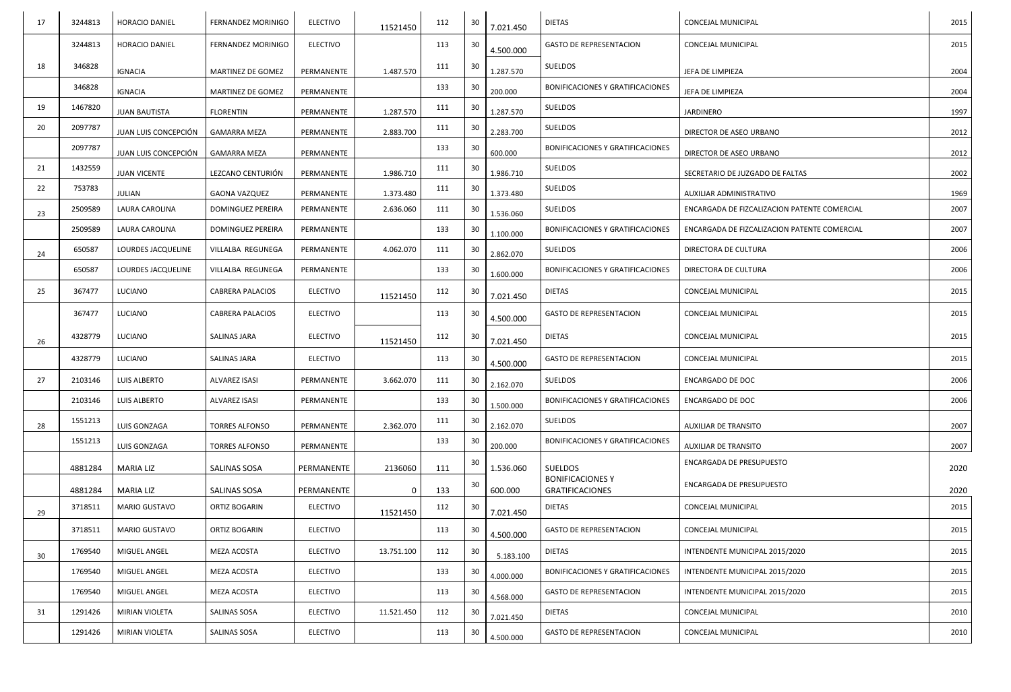| 17 | 3244813 | <b>HORACIO DANIEL</b> | FERNANDEZ MORINIGO        | <b>ELECTIVO</b> | 11521450   | 112 | 30 | 7.021.450 | <b>DIETAS</b>                                     | <b>CONCEJAL MUNICIPAL</b>                    | 2015 |
|----|---------|-----------------------|---------------------------|-----------------|------------|-----|----|-----------|---------------------------------------------------|----------------------------------------------|------|
|    | 3244813 | <b>HORACIO DANIEL</b> | <b>FERNANDEZ MORINIGO</b> | <b>ELECTIVO</b> |            | 113 | 30 | 4.500.000 | <b>GASTO DE REPRESENTACION</b>                    | <b>CONCEJAL MUNICIPAL</b>                    | 2015 |
| 18 | 346828  | <b>IGNACIA</b>        | MARTINEZ DE GOMEZ         | PERMANENTE      | 1.487.570  | 111 | 30 | 1.287.570 | SUELDOS                                           | JEFA DE LIMPIEZA                             | 2004 |
|    | 346828  | <b>IGNACIA</b>        | MARTINEZ DE GOMEZ         | PERMANENTE      |            | 133 | 30 | 200.000   | <b>BONIFICACIONES Y GRATIFICACIONES</b>           | JEFA DE LIMPIEZA                             | 2004 |
| 19 | 1467820 | <b>JUAN BAUTISTA</b>  | <b>FLORENTIN</b>          | PERMANENTE      | 1.287.570  | 111 | 30 | 1.287.570 | SUELDOS                                           | <b>JARDINERO</b>                             | 1997 |
| 20 | 2097787 | JUAN LUIS CONCEPCIÓN  | <b>GAMARRA MEZA</b>       | PERMANENTE      | 2.883.700  | 111 | 30 | 2.283.700 | SUELDOS                                           | DIRECTOR DE ASEO URBANO                      | 2012 |
|    | 2097787 | JUAN LUIS CONCEPCIÓN  | <b>GAMARRA MEZA</b>       | PERMANENTE      |            | 133 | 30 | 600.000   | <b>BONIFICACIONES Y GRATIFICACIONES</b>           | DIRECTOR DE ASEO URBANO                      | 2012 |
| 21 | 1432559 | <b>JUAN VICENTE</b>   | LEZCANO CENTURIÓN         | PERMANENTE      | 1.986.710  | 111 | 30 | 1.986.710 | <b>SUELDOS</b>                                    | SECRETARIO DE JUZGADO DE FALTAS              | 2002 |
| 22 | 753783  | <b>JULIAN</b>         | <b>GAONA VAZQUEZ</b>      | PERMANENTE      | 1.373.480  | 111 | 30 | 1.373.480 | SUELDOS                                           | AUXILIAR ADMINISTRATIVO                      | 1969 |
| 23 | 2509589 | LAURA CAROLINA        | DOMINGUEZ PEREIRA         | PERMANENTE      | 2.636.060  | 111 | 30 | 1.536.060 | SUELDOS                                           | ENCARGADA DE FIZCALIZACION PATENTE COMERCIAL | 2007 |
|    | 2509589 | LAURA CAROLINA        | <b>DOMINGUEZ PEREIRA</b>  | PERMANENTE      |            | 133 | 30 | 1.100.000 | BONIFICACIONES Y GRATIFICACIONES                  | ENCARGADA DE FIZCALIZACION PATENTE COMERCIAL | 2007 |
| 24 | 650587  | LOURDES JACQUELINE    | VILLALBA REGUNEGA         | PERMANENTE      | 4.062.070  | 111 | 30 | 2.862.070 | SUELDOS                                           | DIRECTORA DE CULTURA                         | 2006 |
|    | 650587  | LOURDES JACQUELINE    | VILLALBA REGUNEGA         | PERMANENTE      |            | 133 | 30 | 1.600.000 | <b>BONIFICACIONES Y GRATIFICACIONES</b>           | DIRECTORA DE CULTURA                         | 2006 |
| 25 | 367477  | LUCIANO               | <b>CABRERA PALACIOS</b>   | <b>ELECTIVO</b> | 11521450   | 112 | 30 | 7.021.450 | <b>DIETAS</b>                                     | <b>CONCEJAL MUNICIPAL</b>                    | 2015 |
|    | 367477  | LUCIANO               | <b>CABRERA PALACIOS</b>   | <b>ELECTIVO</b> |            | 113 | 30 | 4.500.000 | <b>GASTO DE REPRESENTACION</b>                    | <b>CONCEJAL MUNICIPAL</b>                    | 2015 |
| 26 | 4328779 | LUCIANO               | <b>SALINAS JARA</b>       | <b>ELECTIVO</b> | 11521450   | 112 | 30 | 7.021.450 | <b>DIETAS</b>                                     | <b>CONCEJAL MUNICIPAL</b>                    | 2015 |
|    | 4328779 | LUCIANO               | <b>SALINAS JARA</b>       | <b>ELECTIVO</b> |            | 113 | 30 | 4.500.000 | <b>GASTO DE REPRESENTACION</b>                    | <b>CONCEJAL MUNICIPAL</b>                    | 2015 |
| 27 | 2103146 | LUIS ALBERTO          | ALVAREZ ISASI             | PERMANENTE      | 3.662.070  | 111 | 30 | 2.162.070 | SUELDOS                                           | <b>ENCARGADO DE DOC</b>                      | 2006 |
|    | 2103146 | LUIS ALBERTO          | ALVAREZ ISASI             | PERMANENTE      |            | 133 | 30 | 1.500.000 | BONIFICACIONES Y GRATIFICACIONES                  | <b>ENCARGADO DE DOC</b>                      | 2006 |
| 28 | 1551213 | LUIS GONZAGA          | <b>TORRES ALFONSO</b>     | PERMANENTE      | 2.362.070  | 111 | 30 | 2.162.070 | SUELDOS                                           | <b>AUXILIAR DE TRANSITO</b>                  | 2007 |
|    | 1551213 | LUIS GONZAGA          | <b>TORRES ALFONSO</b>     | PERMANENTE      |            | 133 | 30 | 200.000   | <b>BONIFICACIONES Y GRATIFICACIONES</b>           | AUXILIAR DE TRANSITO                         | 2007 |
|    | 4881284 | <b>MARIA LIZ</b>      | <b>SALINAS SOSA</b>       | PERMANENTE      | 2136060    | 111 | 30 | 1.536.060 | <b>SUELDOS</b>                                    | ENCARGADA DE PRESUPUESTO                     | 2020 |
|    | 4881284 | <b>MARIA LIZ</b>      | SALINAS SOSA              | PERMANENTE      | 0          | 133 | 30 | 600.000   | <b>BONIFICACIONES Y</b><br><b>GRATIFICACIONES</b> | ENCARGADA DE PRESUPUESTO                     | 2020 |
| 29 | 3718511 | MARIO GUSTAVO         | ORTIZ BOGARIN             | <b>ELECTIVO</b> | 11521450   | 112 | 30 | 7.021.450 | <b>DIETAS</b>                                     | CONCEJAL MUNICIPAL                           | 2015 |
|    | 3718511 | <b>MARIO GUSTAVO</b>  | ORTIZ BOGARIN             | <b>ELECTIVO</b> |            | 113 | 30 | 4.500.000 | <b>GASTO DE REPRESENTACION</b>                    | <b>CONCEJAL MUNICIPAL</b>                    | 2015 |
| 30 | 1769540 | MIGUEL ANGEL          | MEZA ACOSTA               | <b>ELECTIVO</b> | 13.751.100 | 112 | 30 | 5.183.100 | <b>DIETAS</b>                                     | INTENDENTE MUNICIPAL 2015/2020               | 2015 |
|    | 1769540 | MIGUEL ANGEL          | MEZA ACOSTA               | <b>ELECTIVO</b> |            | 133 | 30 | 4.000.000 | BONIFICACIONES Y GRATIFICACIONES                  | INTENDENTE MUNICIPAL 2015/2020               | 2015 |
|    | 1769540 | MIGUEL ANGEL          | MEZA ACOSTA               | <b>ELECTIVO</b> |            | 113 | 30 | 4.568.000 | <b>GASTO DE REPRESENTACION</b>                    | INTENDENTE MUNICIPAL 2015/2020               | 2015 |
| 31 | 1291426 | MIRIAN VIOLETA        | SALINAS SOSA              | <b>ELECTIVO</b> | 11.521.450 | 112 | 30 | 7.021.450 | <b>DIETAS</b>                                     | CONCEJAL MUNICIPAL                           | 2010 |
|    | 1291426 | MIRIAN VIOLETA        | SALINAS SOSA              | <b>ELECTIVO</b> |            | 113 | 30 | 4.500.000 | <b>GASTO DE REPRESENTACION</b>                    | CONCEJAL MUNICIPAL                           | 2010 |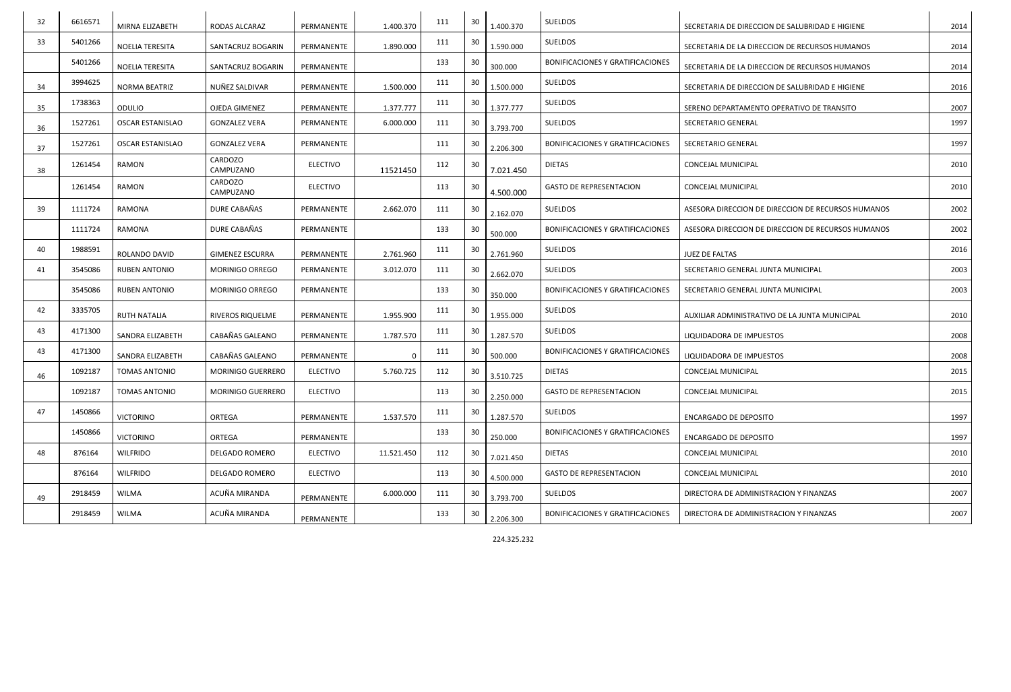| 32 | 6616571 | MIRNA ELIZABETH         | RODAS ALCARAZ          | PERMANENTE      | 1.400.370  | 111 | 30 | 1.400.370 | SUELDOS                                 | SECRETARIA DE DIRECCION DE SALUBRIDAD E HIGIENE    | 2014 |
|----|---------|-------------------------|------------------------|-----------------|------------|-----|----|-----------|-----------------------------------------|----------------------------------------------------|------|
| 33 | 5401266 | <b>NOELIA TERESITA</b>  | SANTACRUZ BOGARIN      | PERMANENTE      | 1.890.000  | 111 | 30 | 1.590.000 | SUELDOS                                 | SECRETARIA DE LA DIRECCION DE RECURSOS HUMANOS     | 2014 |
|    | 5401266 | <b>NOELIA TERESITA</b>  | SANTACRUZ BOGARIN      | PERMANENTE      |            | 133 | 30 | 300.000   | <b>BONIFICACIONES Y GRATIFICACIONES</b> | SECRETARIA DE LA DIRECCION DE RECURSOS HUMANOS     | 2014 |
| 34 | 3994625 | <b>NORMA BEATRIZ</b>    | NUÑEZ SALDIVAR         | PERMANENTE      | 1.500.000  | 111 | 30 | 1.500.000 | SUELDOS                                 | SECRETARIA DE DIRECCION DE SALUBRIDAD E HIGIENE    | 2016 |
| 35 | 1738363 | <b>ODULIO</b>           | OJEDA GIMENEZ          | PERMANENTE      | 1.377.777  | 111 | 30 | 1.377.777 | SUELDOS                                 | SERENO DEPARTAMENTO OPERATIVO DE TRANSITO          | 2007 |
| 36 | 1527261 | <b>OSCAR ESTANISLAO</b> | <b>GONZALEZ VERA</b>   | PERMANENTE      | 6.000.000  | 111 | 30 | 3.793.700 | <b>SUELDOS</b>                          | SECRETARIO GENERAL                                 | 1997 |
| 37 | 1527261 | <b>OSCAR ESTANISLAO</b> | <b>GONZALEZ VERA</b>   | PERMANENTE      |            | 111 | 30 | 2.206.300 | <b>BONIFICACIONES Y GRATIFICACIONES</b> | <b>SECRETARIO GENERAL</b>                          | 1997 |
| 38 | 1261454 | RAMON                   | CARDOZO<br>CAMPUZANO   | <b>ELECTIVO</b> | 11521450   | 112 | 30 | 7.021.450 | <b>DIETAS</b>                           | <b>CONCEJAL MUNICIPAL</b>                          | 2010 |
|    | 1261454 | RAMON                   | CARDOZO<br>CAMPUZANO   | <b>ELECTIVO</b> |            | 113 | 30 | 4.500.000 | <b>GASTO DE REPRESENTACION</b>          | <b>CONCEJAL MUNICIPAL</b>                          | 2010 |
| 39 | 1111724 | RAMONA                  | DURE CABAÑAS           | PERMANENTE      | 2.662.070  | 111 | 30 | 2.162.070 | <b>SUELDOS</b>                          | ASESORA DIRECCION DE DIRECCION DE RECURSOS HUMANOS | 2002 |
|    | 1111724 | RAMONA                  | DURE CABAÑAS           | PERMANENTE      |            | 133 | 30 | 500.000   | <b>BONIFICACIONES Y GRATIFICACIONES</b> | ASESORA DIRECCION DE DIRECCION DE RECURSOS HUMANOS | 2002 |
| 40 | 1988591 | ROLANDO DAVID           | <b>GIMENEZ ESCURRA</b> | PERMANENTE      | 2.761.960  | 111 | 30 | 2.761.960 | SUELDOS                                 | JUEZ DE FALTAS                                     | 2016 |
| 41 | 3545086 | <b>RUBEN ANTONIO</b>    | <b>MORINIGO ORREGO</b> | PERMANENTE      | 3.012.070  | 111 | 30 | 2.662.070 | <b>SUELDOS</b>                          | SECRETARIO GENERAL JUNTA MUNICIPAL                 | 2003 |
|    | 3545086 | <b>RUBEN ANTONIO</b>    | <b>MORINIGO ORREGO</b> | PERMANENTE      |            | 133 | 30 | 350.000   | <b>BONIFICACIONES Y GRATIFICACIONES</b> | SECRETARIO GENERAL JUNTA MUNICIPAL                 | 2003 |
| 42 | 3335705 | <b>RUTH NATALIA</b>     | RIVEROS RIQUELME       | PERMANENTE      | 1.955.900  | 111 | 30 | 1.955.000 | <b>SUELDOS</b>                          | AUXILIAR ADMINISTRATIVO DE LA JUNTA MUNICIPAL      | 2010 |
| 43 | 4171300 | SANDRA ELIZABETH        | CABAÑAS GALEANO        | PERMANENTE      | 1.787.570  | 111 | 30 | 1.287.570 | SUELDOS                                 | LIQUIDADORA DE IMPUESTOS                           | 2008 |
| 43 | 4171300 | SANDRA ELIZABETH        | CABAÑAS GALEANO        | PERMANENTE      |            | 111 | 30 | 500.000   | <b>BONIFICACIONES Y GRATIFICACIONES</b> | LIQUIDADORA DE IMPUESTOS                           | 2008 |
| 46 | 1092187 | <b>TOMAS ANTONIO</b>    | MORINIGO GUERRERO      | <b>ELECTIVO</b> | 5.760.725  | 112 | 30 | 3.510.725 | <b>DIETAS</b>                           | CONCEJAL MUNICIPAL                                 | 2015 |
|    | 1092187 | <b>TOMAS ANTONIO</b>    | MORINIGO GUERRERO      | <b>ELECTIVO</b> |            | 113 | 30 | 2.250.000 | <b>GASTO DE REPRESENTACION</b>          | CONCEJAL MUNICIPAL                                 | 2015 |
| 47 | 1450866 | <b>VICTORINO</b>        | ORTEGA                 | PERMANENTE      | 1.537.570  | 111 | 30 | 1.287.570 | SUELDOS                                 | <b>ENCARGADO DE DEPOSITO</b>                       | 1997 |
|    | 1450866 | <b>VICTORINO</b>        | ORTEGA                 | PERMANENTE      |            | 133 | 30 | 250.000   | <b>BONIFICACIONES Y GRATIFICACIONES</b> | <b>ENCARGADO DE DEPOSITO</b>                       | 1997 |
| 48 | 876164  | <b>WILFRIDO</b>         | <b>DELGADO ROMERO</b>  | <b>ELECTIVO</b> | 11.521.450 | 112 | 30 | 7.021.450 | <b>DIETAS</b>                           | CONCEJAL MUNICIPAL                                 | 2010 |
|    | 876164  | <b>WILFRIDO</b>         | DELGADO ROMERO         | <b>ELECTIVO</b> |            | 113 | 30 | 4.500.000 | <b>GASTO DE REPRESENTACION</b>          | CONCEJAL MUNICIPAL                                 | 2010 |
| 49 | 2918459 | WILMA                   | ACUÑA MIRANDA          | PERMANENTE      | 6.000.000  | 111 | 30 | 3.793.700 | SUELDOS                                 | DIRECTORA DE ADMINISTRACION Y FINANZAS             | 2007 |
|    | 2918459 | WILMA                   | ACUÑA MIRANDA          | PERMANENTE      |            | 133 | 30 | 2.206.300 | BONIFICACIONES Y GRATIFICACIONES        | DIRECTORA DE ADMINISTRACION Y FINANZAS             | 2007 |

224.325.232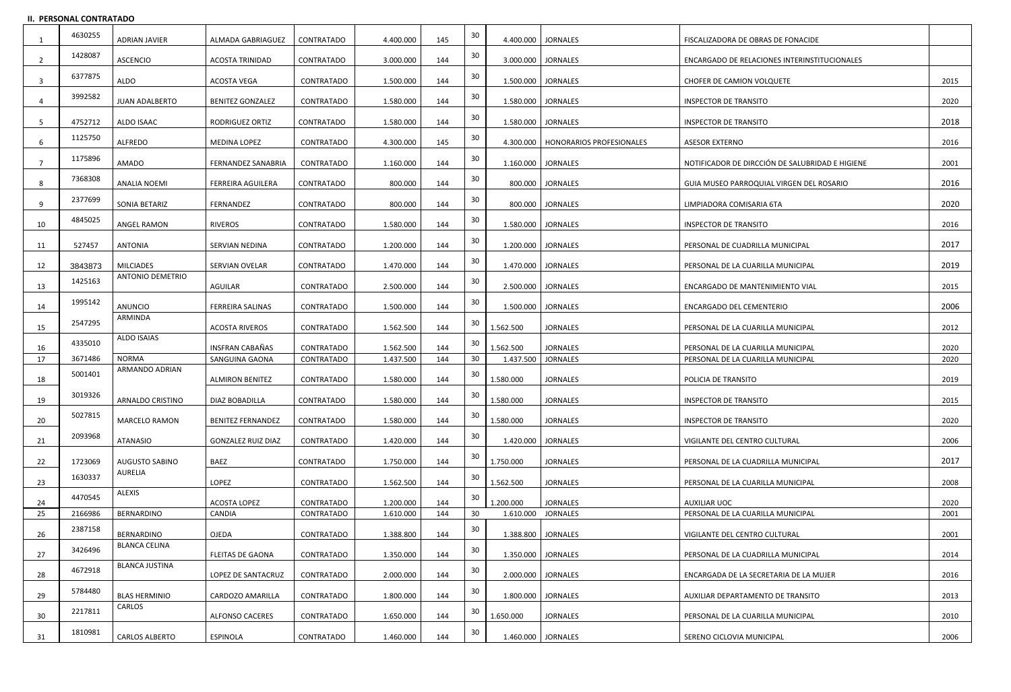#### **II. PERSONAL CONTRATADO**

|          | 4630255 | <b>ADRIAN JAVIER</b>           | ALMADA GABRIAGUEZ                        | CONTRATADO               | 4.400.000              | 145        | 30 |                        | 4.400.000 JORNALES                   | FISCALIZADORA DE OBRAS DE FONACIDE                                     |              |
|----------|---------|--------------------------------|------------------------------------------|--------------------------|------------------------|------------|----|------------------------|--------------------------------------|------------------------------------------------------------------------|--------------|
|          | 1428087 | <b>ASCENCIO</b>                | <b>ACOSTA TRINIDAD</b>                   | CONTRATADO               | 3.000.000              | 144        | 30 |                        | 3.000.000   JORNALES                 | ENCARGADO DE RELACIONES INTERINSTITUCIONALES                           |              |
| -3       | 6377875 | ALDO                           | <b>ACOSTA VEGA</b>                       | CONTRATADO               | 1.500.000              | 144        | 30 |                        | 1.500.000 JORNALES                   | <b>CHOFER DE CAMION VOLQUETE</b>                                       | 2015         |
|          | 3992582 | <b>JUAN ADALBERTO</b>          | <b>BENITEZ GONZALEZ</b>                  | CONTRATADO               | 1.580.000              | 144        | 30 |                        | 1.580.000   JORNALES                 | <b>INSPECTOR DE TRANSITO</b>                                           | 2020         |
| -5       | 4752712 | ALDO ISAAC                     | <b>RODRIGUEZ ORTIZ</b>                   | CONTRATADO               | 1.580.000              | 144        | 30 |                        | 1.580.000   JORNALES                 | <b>INSPECTOR DE TRANSITO</b>                                           | 2018         |
| 6        | 1125750 | <b>ALFREDO</b>                 | MEDINA LOPEZ                             | CONTRATADO               | 4.300.000              | 145        | 30 |                        | 4.300.000   HONORARIOS PROFESIONALES | <b>ASESOR EXTERNO</b>                                                  | 2016         |
|          | 1175896 | AMADO                          | FERNANDEZ SANABRIA                       | CONTRATADO               | 1.160.000              | 144        | 30 |                        | 1.160.000   JORNALES                 | NOTIFICADOR DE DIRCCIÓN DE SALUBRIDAD E HIGIENE                        | 2001         |
| 8        | 7368308 | <b>ANALIA NOEMI</b>            | <b>FERREIRA AGUILERA</b>                 | CONTRATADO               | 800.000                | 144        | 30 |                        | 800.000 JORNALES                     | GUIA MUSEO PARROQUIAL VIRGEN DEL ROSARIO                               | 2016         |
| 9        | 2377699 | SONIA BETARIZ                  | FERNANDEZ                                | CONTRATADO               | 800.000                | 144        | 30 |                        | 800.000   JORNALES                   | LIMPIADORA COMISARIA 6TA                                               | 2020         |
| 10       | 4845025 | ANGEL RAMON                    | <b>RIVEROS</b>                           | CONTRATADO               | 1.580.000              | 144        | 30 |                        | 1.580.000   JORNALES                 | <b>INSPECTOR DE TRANSITO</b>                                           | 2016         |
| 11       | 527457  | ANTONIA                        | SERVIAN NEDINA                           | CONTRATADO               | 1.200.000              | 144        | 30 | 1.200.000   JORNALES   |                                      | PERSONAL DE CUADRILLA MUNICIPAL                                        | 2017         |
| 12       | 3843873 | <b>MILCIADES</b>               | SERVIAN OVELAR                           | CONTRATADO               | 1.470.000              | 144        | 30 |                        | 1.470.000   JORNALES                 | PERSONAL DE LA CUARILLA MUNICIPAL                                      | 2019         |
| 13       | 1425163 | <b>ANTONIO DEMETRIO</b>        | AGUILAR                                  | CONTRATADO               | 2.500.000              | 144        | 30 |                        | 2.500.000 JORNALES                   | ENCARGADO DE MANTENIMIENTO VIAL                                        | 2015         |
| 14       | 1995142 | ANUNCIO                        | <b>FERREIRA SALINAS</b>                  | CONTRATADO               | 1.500.000              | 144        | 30 | 1.500.000   JORNALES   |                                      | ENCARGADO DEL CEMENTERIO                                               | 2006         |
| 15       | 2547295 | ARMINDA                        | <b>ACOSTA RIVEROS</b>                    | CONTRATADO               | 1.562.500              | 144        | 30 | 1.562.500              | <b>JORNALES</b>                      | PERSONAL DE LA CUARILLA MUNICIPAL                                      | 2012         |
|          | 4335010 | ALDO ISAIAS                    |                                          |                          |                        |            | 30 |                        |                                      |                                                                        |              |
| 16<br>17 | 3671486 | <b>NORMA</b>                   | <b>INSFRAN CABAÑAS</b><br>SANGUINA GAONA | CONTRATADO<br>CONTRATADO | 1.562.500<br>1.437.500 | 144<br>144 | 30 | 1.562.500<br>1.437.500 | <b>JORNALES</b><br><b>JORNALES</b>   | PERSONAL DE LA CUARILLA MUNICIPAL<br>PERSONAL DE LA CUARILLA MUNICIPAL | 2020<br>2020 |
|          | 5001401 | ARMANDO ADRIAN                 | <b>ALMIRON BENITEZ</b>                   | CONTRATADO               | 1.580.000              | 144        | 30 |                        | <b>JORNALES</b>                      | POLICIA DE TRANSITO                                                    | 2019         |
| 18       | 3019326 |                                |                                          |                          |                        |            | 30 | 1.580.000              |                                      |                                                                        |              |
| 19       |         | <b>ARNALDO CRISTINO</b>        | DIAZ BOBADILLA                           | CONTRATADO               | 1.580.000              | 144        |    | 1.580.000              | <b>JORNALES</b>                      | <b>INSPECTOR DE TRANSITO</b>                                           | 2015         |
| 20       | 5027815 | <b>MARCELO RAMON</b>           | <b>BENITEZ FERNANDEZ</b>                 | CONTRATADO               | 1.580.000              | 144        | 30 | 1.580.000              | <b>JORNALES</b>                      | INSPECTOR DE TRANSITO                                                  | 2020         |
| 21       | 2093968 | ATANASIO                       | <b>GONZALEZ RUIZ DIAZ</b>                | CONTRATADO               | 1.420.000              | 144        | 30 | 1.420.000   JORNALES   |                                      | VIGILANTE DEL CENTRO CULTURAL                                          | 2006         |
| 22       | 1723069 | <b>AUGUSTO SABINO</b>          | <b>BAEZ</b>                              | CONTRATADO               | 1.750.000              | 144        | 30 | 1.750.000              | <b>JORNALES</b>                      | PERSONAL DE LA CUADRILLA MUNICIPAL                                     | 2017         |
| 23       | 1630337 | AURELIA                        | LOPEZ                                    | CONTRATADO               | 1.562.500              | 144        | 30 | 1.562.500              | <b>JORNALES</b>                      | PERSONAL DE LA CUARILLA MUNICIPAL                                      | 2008         |
| 24       | 4470545 | ALEXIS                         | <b>ACOSTA LOPEZ</b>                      | CONTRATADO               | 1.200.000              | 144        | 30 | 1.200.000              | <b>JORNALES</b>                      | <b>AUXILIAR UOC</b>                                                    | 2020         |
| 25       | 2166986 | BERNARDINO                     | CANDIA                                   | <b>CONTRATADO</b>        | 1.610.000              | 144        | 30 | 1.610.000 JORNALES     |                                      | PERSONAL DE LA CUARILLA MUNICIPAL                                      | 2001         |
| 26       | 2387158 | BERNARDINO                     | OJEDA                                    | CONTRATADO               | 1.388.800              | 144        | 30 |                        | 1.388.800   JORNALES                 | VIGILANTE DEL CENTRO CULTURAL                                          | 2001         |
| 27       | 3426496 | <b>BLANCA CELINA</b>           | <b>FLEITAS DE GAONA</b>                  | CONTRATADO               | 1.350.000              | 144        | 30 |                        | 1.350.000   JORNALES                 | PERSONAL DE LA CUADRILLA MUNICIPAL                                     | 2014         |
|          | 4672918 | <b>BLANCA JUSTINA</b>          |                                          |                          |                        |            | 30 |                        |                                      |                                                                        |              |
| 28       | 5784480 |                                | LOPEZ DE SANTACRUZ                       | CONTRATADO               | 2.000.000              | 144        | 30 |                        | 2.000.000 JORNALES                   | ENCARGADA DE LA SECRETARIA DE LA MUJER                                 | 2016         |
| 29       | 2217811 | <b>BLAS HERMINIO</b><br>CARLOS | CARDOZO AMARILLA                         | CONTRATADO               | 1.800.000              | 144        | 30 |                        | 1.800.000   JORNALES                 | AUXILIAR DEPARTAMENTO DE TRANSITO                                      | 2013         |
| 30       | 1810981 |                                | <b>ALFONSO CACERES</b>                   | CONTRATADO               | 1.650.000              | 144        | 30 | 1.650.000              | <b>JORNALES</b>                      | PERSONAL DE LA CUARILLA MUNICIPAL                                      | 2010         |
| 31       |         | <b>CARLOS ALBERTO</b>          | <b>ESPINOLA</b>                          | CONTRATADO               | 1.460.000              | 144        |    |                        | 1.460.000 JORNALES                   | SERENO CICLOVIA MUNICIPAL                                              | 2006         |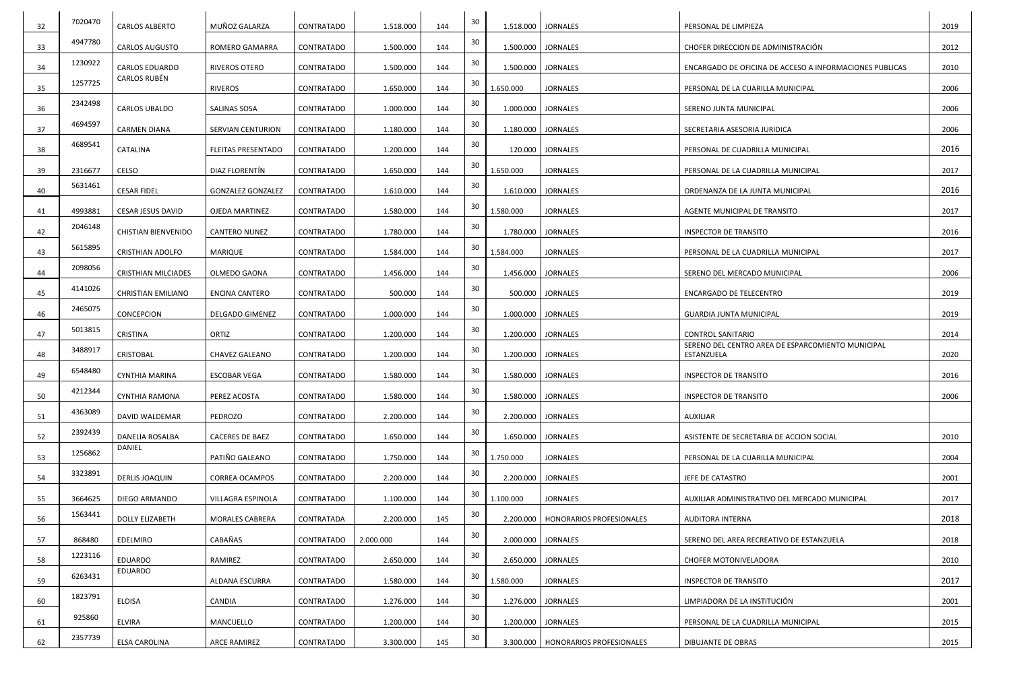| 32 | 7020470 | <b>CARLOS ALBERTO</b>      | MUÑOZ GALARZA             | CONTRATADO | 1.518.000 | 144 | 30 |           | 1.518.000   JORNALES                 | PERSONAL DE LIMPIEZA                                            | 2019 |
|----|---------|----------------------------|---------------------------|------------|-----------|-----|----|-----------|--------------------------------------|-----------------------------------------------------------------|------|
| 33 | 4947780 | <b>CARLOS AUGUSTO</b>      | <b>ROMERO GAMARRA</b>     | CONTRATADO | 1.500.000 | 144 | 30 |           | 1.500.000 JORNALES                   | CHOFER DIRECCION DE ADMINISTRACIÓN                              | 2012 |
| 34 | 1230922 | <b>CARLOS EDUARDO</b>      | <b>RIVEROS OTERO</b>      | CONTRATADO | 1.500.000 | 144 | 30 |           | 1.500.000   JORNALES                 | ENCARGADO DE OFICINA DE ACCESO A INFORMACIONES PUBLICAS         | 2010 |
| 35 | 1257725 | CARLOS RUBÉN               | <b>RIVEROS</b>            | CONTRATADO | 1.650.000 | 144 | 30 | 1.650.000 | <b>JORNALES</b>                      | PERSONAL DE LA CUARILLA MUNICIPAL                               | 2006 |
| 36 | 2342498 | <b>CARLOS UBALDO</b>       | SALINAS SOSA              | CONTRATADO | 1.000.000 | 144 | 30 |           | 1.000.000   JORNALES                 | SERENO JUNTA MUNICIPAL                                          | 2006 |
| 37 | 4694597 | <b>CARMEN DIANA</b>        | <b>SERVIAN CENTURION</b>  | CONTRATADO | 1.180.000 | 144 | 30 |           | 1.180.000   JORNALES                 | SECRETARIA ASESORIA JURIDICA                                    | 2006 |
| 38 | 4689541 | CATALINA                   | <b>FLEITAS PRESENTADO</b> | CONTRATADO | 1.200.000 | 144 | 30 |           | 120.000 JORNALES                     | PERSONAL DE CUADRILLA MUNICIPAL                                 | 2016 |
| 39 | 2316677 | CELSO                      | DIAZ FLORENTÍN            | CONTRATADO | 1.650.000 | 144 | 30 | 1.650.000 | <b>JORNALES</b>                      | PERSONAL DE LA CUADRILLA MUNICIPAL                              | 2017 |
| 40 | 5631461 | <b>CESAR FIDEL</b>         | <b>GONZALEZ GONZALEZ</b>  | CONTRATADO | 1.610.000 | 144 | 30 |           | 1.610.000   JORNALES                 | ORDENANZA DE LA JUNTA MUNICIPAL                                 | 2016 |
| 41 | 4993881 | <b>CESAR JESUS DAVID</b>   | <b>OJEDA MARTINEZ</b>     | CONTRATADO | 1.580.000 | 144 | 30 | 1.580.000 | <b>JORNALES</b>                      | AGENTE MUNICIPAL DE TRANSITO                                    | 2017 |
| 42 | 2046148 | <b>CHISTIAN BIENVENIDO</b> | <b>CANTERO NUNEZ</b>      | CONTRATADO | 1.780.000 | 144 | 30 |           | 1.780.000   JORNALES                 | <b>INSPECTOR DE TRANSITO</b>                                    | 2016 |
| 43 | 5615895 | <b>CRISTHIAN ADOLFO</b>    | MARIQUE                   | CONTRATADO | 1.584.000 | 144 | 30 | 1.584.000 | <b>JORNALES</b>                      | PERSONAL DE LA CUADRILLA MUNICIPAL                              | 2017 |
| 44 | 2098056 | <b>CRISTHIAN MILCIADES</b> | OLMEDO GAONA              | CONTRATADO | 1.456.000 | 144 | 30 |           | 1.456.000 JORNALES                   | SERENO DEL MERCADO MUNICIPAL                                    | 2006 |
| 45 | 4141026 | <b>CHRISTIAN EMILIANO</b>  | <b>ENCINA CANTERO</b>     | CONTRATADO | 500.000   | 144 | 30 |           | 500.000 JORNALES                     | <b>ENCARGADO DE TELECENTRO</b>                                  | 2019 |
| 46 | 2465075 | CONCEPCION                 | <b>DELGADO GIMENEZ</b>    | CONTRATADO | 1.000.000 | 144 | 30 |           | 1.000.000 JORNALES                   | <b>GUARDIA JUNTA MUNICIPAL</b>                                  | 2019 |
| 47 | 5013815 | <b>CRISTINA</b>            | ORTIZ                     | CONTRATADO | 1.200.000 | 144 | 30 |           | 1.200.000   JORNALES                 | <b>CONTROL SANITARIO</b>                                        | 2014 |
| 48 | 3488917 | <b>CRISTOBAL</b>           | <b>CHAVEZ GALEANO</b>     | CONTRATADO | 1.200.000 | 144 | 30 |           | 1.200.000   JORNALES                 | SERENO DEL CENTRO AREA DE ESPARCOMIENTO MUNICIPAL<br>ESTANZUELA | 2020 |
| 49 | 6548480 | CYNTHIA MARINA             | <b>ESCOBAR VEGA</b>       | CONTRATADO | 1.580.000 | 144 | 30 |           | 1.580.000 JORNALES                   | <b>INSPECTOR DE TRANSITO</b>                                    | 2016 |
| 50 | 4212344 | <b>CYNTHIA RAMONA</b>      | PEREZ ACOSTA              | CONTRATADO | 1.580.000 | 144 | 30 |           | 1.580.000   JORNALES                 | <b>INSPECTOR DE TRANSITO</b>                                    | 2006 |
| 51 | 4363089 | DAVID WALDEMAR             | PEDROZO                   | CONTRATADO | 2.200.000 | 144 | 30 |           | 2.200.000   JORNALES                 | AUXILIAR                                                        |      |
| 52 | 2392439 | <b>DANELIA ROSALBA</b>     | <b>CACERES DE BAEZ</b>    | CONTRATADO | 1.650.000 | 144 | 30 |           | 1.650.000 JORNALES                   | ASISTENTE DE SECRETARIA DE ACCION SOCIAL                        | 2010 |
| 53 | 1256862 | DANIEL                     | PATIÑO GALEANO            | CONTRATADO | 1.750.000 | 144 | 30 | 1.750.000 | <b>JORNALES</b>                      | PERSONAL DE LA CUARILLA MUNICIPAL                               | 2004 |
| 54 | 3323891 | <b>DERLIS JOAQUIN</b>      | <b>CORREA OCAMPOS</b>     | CONTRATADO | 2.200.000 | 144 | 30 |           | 2.200.000 JORNALES                   | JEFE DE CATASTRO                                                | 2001 |
| 55 | 3664625 | DIEGO ARMANDO              | VILLAGRA ESPINOLA         | CONTRATADO | 1.100.000 | 144 | 30 | 1.100.000 | <b>JORNALES</b>                      | AUXILIAR ADMINISTRATIVO DEL MERCADO MUNICIPAL                   | 2017 |
| 56 | 1563441 | <b>DOLLY ELIZABETH</b>     | MORALES CABRERA           | CONTRATADA | 2.200.000 | 145 | 30 |           | 2.200.000   HONORARIOS PROFESIONALES | AUDITORA INTERNA                                                | 2018 |
| 57 | 868480  | EDELMIRO                   | CABAÑAS                   | CONTRATADO | 2.000.000 | 144 | 30 |           | 2.000.000 JORNALES                   | SERENO DEL AREA RECREATIVO DE ESTANZUELA                        | 2018 |
| 58 | 1223116 | EDUARDO                    | RAMIREZ                   | CONTRATADO | 2.650.000 | 144 | 30 |           | 2.650.000   JORNALES                 | <b>CHOFER MOTONIVELADORA</b>                                    | 2010 |
| 59 | 6263431 | EDUARDO                    | ALDANA ESCURRA            | CONTRATADO | 1.580.000 | 144 | 30 | 1.580.000 | <b>JORNALES</b>                      | <b>INSPECTOR DE TRANSITO</b>                                    | 2017 |
| 60 | 1823791 | <b>ELOISA</b>              | CANDIA                    | CONTRATADO | 1.276.000 | 144 | 30 |           | 1.276.000 JORNALES                   | LIMPIADORA DE LA INSTITUCIÓN                                    | 2001 |
| 61 | 925860  | <b>ELVIRA</b>              | MANCUELLO                 | CONTRATADO | 1.200.000 | 144 | 30 |           | 1.200.000   JORNALES                 | PERSONAL DE LA CUADRILLA MUNICIPAL                              | 2015 |
| 62 | 2357739 | ELSA CAROLINA              | ARCE RAMIREZ              | CONTRATADO | 3.300.000 | 145 | 30 |           | 3.300.000   HONORARIOS PROFESIONALES | DIBUJANTE DE OBRAS                                              | 2015 |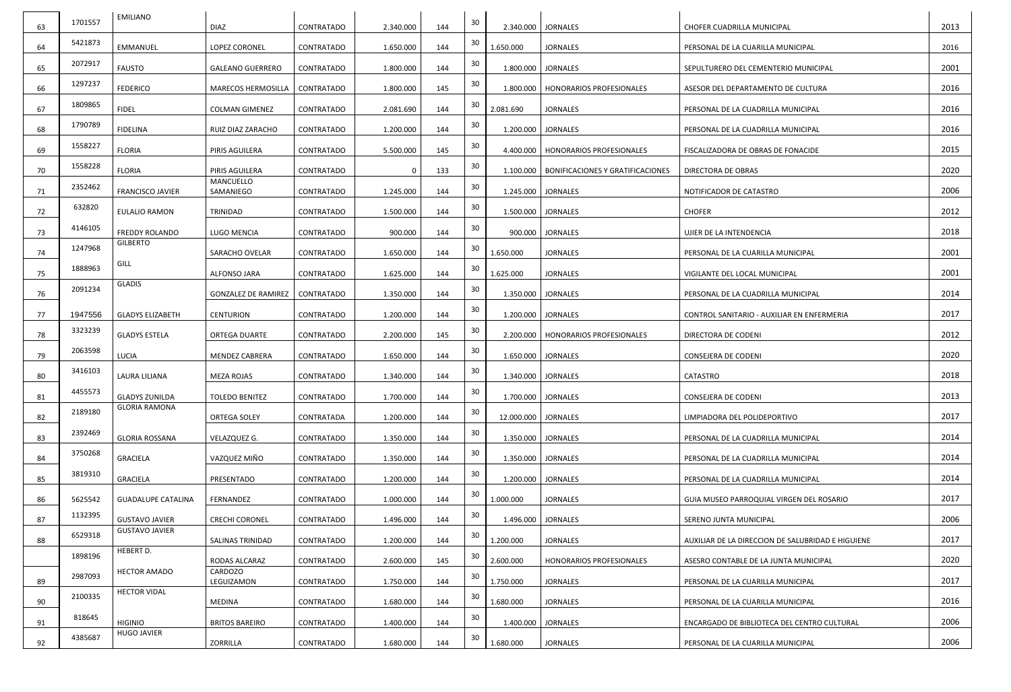| 63 | 1701557 | <b>EMILIANO</b>                      | <b>DIAZ</b>                | CONTRATADO        | 2.340.000 | 144 | 30 |                    | 2.340.000   JORNALES                    | CHOFER CUADRILLA MUNICIPAL                        | 2013 |
|----|---------|--------------------------------------|----------------------------|-------------------|-----------|-----|----|--------------------|-----------------------------------------|---------------------------------------------------|------|
| 64 | 5421873 | EMMANUEL                             | LOPEZ CORONEL              | CONTRATADO        | 1.650.000 | 144 | 30 | 1.650.000          | <b>JORNALES</b>                         | PERSONAL DE LA CUARILLA MUNICIPAL                 | 2016 |
|    | 2072917 | <b>FAUSTO</b>                        | <b>GALEANO GUERRERO</b>    |                   |           | 144 | 30 |                    | 1.800.000   JORNALES                    |                                                   | 2001 |
| 65 | 1297237 |                                      |                            | CONTRATADO        | 1.800.000 |     | 30 |                    |                                         | SEPULTURERO DEL CEMENTERIO MUNICIPAL              |      |
| 66 | 1809865 | <b>FEDERICO</b>                      | MARECOS HERMOSILLA         | <b>CONTRATADO</b> | 1.800.000 | 145 | 30 | 1.800.000          | <b>HONORARIOS PROFESIONALES</b>         | ASESOR DEL DEPARTAMENTO DE CULTURA                | 2016 |
| 67 |         | <b>FIDEL</b>                         | <b>COLMAN GIMENEZ</b>      | CONTRATADO        | 2.081.690 | 144 |    | 2.081.690          | <b>JORNALES</b>                         | PERSONAL DE LA CUADRILLA MUNICIPAL                | 2016 |
| 68 | 1790789 | <b>FIDELINA</b>                      | RUIZ DIAZ ZARACHO          | CONTRATADO        | 1.200.000 | 144 | 30 |                    | 1.200.000   JORNALES                    | PERSONAL DE LA CUADRILLA MUNICIPAL                | 2016 |
| 69 | 1558227 | <b>FLORIA</b>                        | PIRIS AGUILERA             | CONTRATADO        | 5.500.000 | 145 | 30 | 4.400.000          | HONORARIOS PROFESIONALES                | FISCALIZADORA DE OBRAS DE FONACIDE                | 2015 |
| 70 | 1558228 | <b>FLORIA</b>                        | PIRIS AGUILERA             | CONTRATADO        |           | 133 | 30 | 1.100.000          | <b>BONIFICACIONES Y GRATIFICACIONES</b> | DIRECTORA DE OBRAS                                | 2020 |
| 71 | 2352462 | <b>FRANCISCO JAVIER</b>              | MANCUELLO<br>SAMANIEGO     | CONTRATADO        | 1.245.000 | 144 | 30 |                    | 1.245.000   JORNALES                    | NOTIFICADOR DE CATASTRO                           | 2006 |
| 72 | 632820  | <b>EULALIO RAMON</b>                 | TRINIDAD                   | CONTRATADO        | 1.500.000 | 144 | 30 |                    | 1.500.000   JORNALES                    | <b>CHOFER</b>                                     | 2012 |
| 73 | 4146105 | <b>FREDDY ROLANDO</b>                | LUGO MENCIA                | CONTRATADO        | 900.000   | 144 | 30 | 900.000            | <b>JORNALES</b>                         | UJIER DE LA INTENDENCIA                           | 2018 |
|    | 1247968 | <b>GILBERTO</b>                      |                            |                   |           |     | 30 |                    |                                         |                                                   |      |
| 74 | 1888963 | GILL                                 | SARACHO OVELAR             | CONTRATADO        | 1.650.000 | 144 | 30 | 1.650.000          | <b>JORNALES</b>                         | PERSONAL DE LA CUARILLA MUNICIPAL                 | 2001 |
| 75 |         | <b>GLADIS</b>                        | ALFONSO JARA               | CONTRATADO        | 1.625.000 | 144 |    | 1.625.000          | <b>JORNALES</b>                         | VIGILANTE DEL LOCAL MUNICIPAL                     | 2001 |
| 76 | 2091234 |                                      | <b>GONZALEZ DE RAMIREZ</b> | CONTRATADO        | 1.350.000 | 144 | 30 |                    | 1.350.000   JORNALES                    | PERSONAL DE LA CUADRILLA MUNICIPAL                | 2014 |
| 77 | 1947556 | <b>GLADYS ELIZABETH</b>              | <b>CENTURION</b>           | <b>CONTRATADO</b> | 1.200.000 | 144 | 30 |                    | 1.200.000   JORNALES                    | CONTROL SANITARIO - AUXILIAR EN ENFERMERIA        | 2017 |
| 78 | 3323239 | <b>GLADYS ESTELA</b>                 | ORTEGA DUARTE              | CONTRATADO        | 2.200.000 | 145 | 30 | 2.200.000          | <b>HONORARIOS PROFESIONALES</b>         | DIRECTORA DE CODENI                               | 2012 |
| 79 | 2063598 | LUCIA                                | <b>MENDEZ CABRERA</b>      | CONTRATADO        | 1.650.000 | 144 | 30 |                    | 1.650.000   JORNALES                    | CONSEJERA DE CODENI                               | 2020 |
| 80 | 3416103 | LAURA LILIANA                        | MEZA ROJAS                 | CONTRATADO        | 1.340.000 | 144 | 30 |                    | 1.340.000 JORNALES                      | CATASTRO                                          | 2018 |
| 81 | 4455573 | <b>GLADYS ZUNILDA</b>                | <b>TOLEDO BENITEZ</b>      | CONTRATADO        | 1.700.000 | 144 | 30 | 1.700.000          | <b>JORNALES</b>                         | CONSEJERA DE CODENI                               | 2013 |
|    | 2189180 | <b>GLORIA RAMONA</b>                 |                            |                   |           |     | 30 |                    |                                         |                                                   |      |
| 82 | 2392469 |                                      | ORTEGA SOLEY               | CONTRATADA        | 1.200.000 | 144 | 30 | 12.000.000         | <b>JORNALES</b>                         | LIMPIADORA DEL POLIDEPORTIVO                      | 2017 |
| 83 |         | <b>GLORIA ROSSANA</b>                | VELAZQUEZ G.               | CONTRATADO        | 1.350.000 | 144 |    |                    | 1.350.000   JORNALES                    | PERSONAL DE LA CUADRILLA MUNICIPAL                | 2014 |
| 84 | 3750268 | <b>GRACIELA</b>                      | VAZQUEZ MIÑO               | CONTRATADO        | 1.350.000 | 144 | 30 |                    | 1.350.000   JORNALES                    | PERSONAL DE LA CUADRILLA MUNICIPAL                | 2014 |
| 85 | 3819310 | <b>GRACIELA</b>                      | PRESENTADO                 | CONTRATADO        | 1.200.000 | 144 | 30 | 1.200.000 JORNALES |                                         | PERSONAL DE LA CUADRILLA MUNICIPAL                | 2014 |
| 86 | 5625542 | <b>GUADALUPE CATALINA</b>            | FERNANDEZ                  | CONTRATADO        | 1.000.000 | 144 | 30 | 1.000.000          | <b>JORNALES</b>                         | GUIA MUSEO PARROQUIAL VIRGEN DEL ROSARIO          | 2017 |
| 87 | 1132395 | <b>GUSTAVO JAVIER</b>                | <b>CRECHI CORONEL</b>      | CONTRATADO        | 1.496.000 | 144 | 30 | 1.496.000          | <b>JORNALES</b>                         | SERENO JUNTA MUNICIPAL                            | 2006 |
| 88 | 6529318 | <b>GUSTAVO JAVIER</b>                | SALINAS TRINIDAD           | CONTRATADO        | 1.200.000 | 144 | 30 | 1.200.000          | <b>JORNALES</b>                         | AUXILIAR DE LA DIRECCION DE SALUBRIDAD E HIGUIENE | 2017 |
|    | 1898196 | HEBERT D.                            | RODAS ALCARAZ              | CONTRATADO        | 2.600.000 | 145 | 30 | 2.600.000          | HONORARIOS PROFESIONALES                | ASESRO CONTABLE DE LA JUNTA MUNICIPAL             | 2020 |
|    | 2987093 | <b>HECTOR AMADO</b>                  | CARDOZO                    |                   |           |     | 30 |                    |                                         |                                                   |      |
| 89 | 2100335 | <b>HECTOR VIDAL</b>                  | LEGUIZAMON                 | CONTRATADO        | 1.750.000 | 144 | 30 | 1.750.000          | <b>JORNALES</b>                         | PERSONAL DE LA CUARILLA MUNICIPAL                 | 2017 |
| 90 |         |                                      | <b>MEDINA</b>              | CONTRATADO        | 1.680.000 | 144 |    | 1.680.000          | <b>JORNALES</b>                         | PERSONAL DE LA CUARILLA MUNICIPAL                 | 2016 |
| 91 | 818645  | <b>HIGINIO</b><br><b>HUGO JAVIER</b> | <b>BRITOS BAREIRO</b>      | CONTRATADO        | 1.400.000 | 144 | 30 | 1.400.000          | <b>JORNALES</b>                         | ENCARGADO DE BIBLIOTECA DEL CENTRO CULTURAL       | 2006 |
| 92 | 4385687 |                                      | ZORRILLA                   | CONTRATADO        | 1.680.000 | 144 | 30 | 1.680.000          | <b>JORNALES</b>                         | PERSONAL DE LA CUARILLA MUNICIPAL                 | 2006 |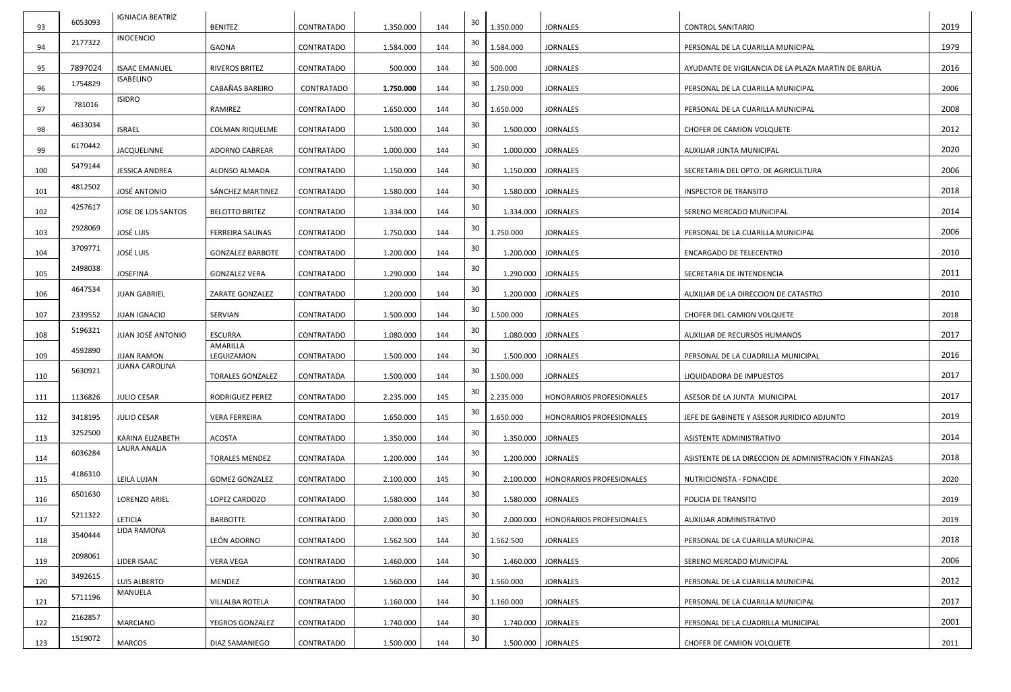| 93  | 6053093 | <b>IGNIACIA BEATRIZ</b> | <b>BENITEZ</b>          | CONTRATADO | 1.350.000 | 144 | 30 | 1.350.000 | <b>JORNALES</b>                      | <b>CONTROL SANITARIO</b>                               | 2019 |
|-----|---------|-------------------------|-------------------------|------------|-----------|-----|----|-----------|--------------------------------------|--------------------------------------------------------|------|
| 94  | 2177322 | <b>INOCENCIO</b>        | <b>GAONA</b>            | CONTRATADO | 1.584.000 | 144 | 30 | 1.584.000 | <b>JORNALES</b>                      | PERSONAL DE LA CUARILLA MUNICIPAL                      | 1979 |
| 95  | 7897024 | <b>ISAAC EMANUEL</b>    | RIVEROS BRITEZ          | CONTRATADO | 500.000   | 144 | 30 | 500.000   | <b>JORNALES</b>                      | AYUDANTE DE VIGILANCIA DE LA PLAZA MARTIN DE BARUA     | 2016 |
| 96  | 1754829 | <b>ISABELINO</b>        | CABAÑAS BAREIRO         | CONTRATADO | 1.750.000 | 144 | 30 | 1.750.000 | <b>JORNALES</b>                      | PERSONAL DE LA CUARILLA MUNICIPAL                      | 2006 |
| 97  | 781016  | <b>ISIDRO</b>           | RAMIREZ                 | CONTRATADO | 1.650.000 | 144 | 30 | 1.650.000 | <b>JORNALES</b>                      | PERSONAL DE LA CUARILLA MUNICIPAL                      | 2008 |
| 98  | 4633034 | <b>ISRAEL</b>           | <b>COLMAN RIQUELME</b>  | CONTRATADO | 1.500.000 | 144 | 30 |           | 1.500.000 JORNALES                   | CHOFER DE CAMION VOLQUETE                              | 2012 |
|     | 6170442 |                         |                         |            |           |     | 30 |           |                                      |                                                        |      |
| 99  | 5479144 | JACQUELINNE             | <b>ADORNO CABREAR</b>   | CONTRATADO | 1.000.000 | 144 | 30 |           | 1.000.000 JORNALES                   | AUXILIAR JUNTA MUNICIPAL                               | 2020 |
| 100 | 4812502 | <b>JESSICA ANDREA</b>   | ALONSO ALMADA           | CONTRATADO | 1.150.000 | 144 | 30 |           | 1.150.000   JORNALES                 | SECRETARIA DEL DPTO. DE AGRICULTURA                    | 2006 |
| 101 | 4257617 | <b>JOSÉ ANTONIO</b>     | SÁNCHEZ MARTINEZ        | CONTRATADO | 1.580.000 | 144 | 30 |           | 1.580.000   JORNALES                 | <b>INSPECTOR DE TRANSITO</b>                           | 2018 |
| 102 |         | JOSE DE LOS SANTOS      | <b>BELOTTO BRITEZ</b>   | CONTRATADO | 1.334.000 | 144 |    |           | 1.334.000 JORNALES                   | SERENO MERCADO MUNICIPAL                               | 2014 |
| 103 | 2928069 | <b>JOSÉ LUIS</b>        | FERREIRA SALINAS        | CONTRATADO | 1.750.000 | 144 | 30 | 1.750.000 | <b>JORNALES</b>                      | PERSONAL DE LA CUARILLA MUNICIPAL                      | 2006 |
| 104 | 3709771 | <b>JOSÉ LUIS</b>        | <b>GONZALEZ BARBOTE</b> | CONTRATADO | 1.200.000 | 144 | 30 |           | 1.200.000 JORNALES                   | <b>ENCARGADO DE TELECENTRO</b>                         | 2010 |
| 105 | 2498038 | <b>JOSEFINA</b>         | <b>GONZALEZ VERA</b>    | CONTRATADO | 1.290.000 | 144 | 30 |           | 1.290.000 JORNALES                   | SECRETARIA DE INTENDENCIA                              | 2011 |
| 106 | 4647534 | <b>JUAN GABRIEL</b>     | ZARATE GONZALEZ         | CONTRATADO | 1.200.000 | 144 | 30 |           | 1.200.000   JORNALES                 | AUXILIAR DE LA DIRECCION DE CATASTRO                   | 2010 |
| 107 | 2339552 | <b>JUAN IGNACIO</b>     | SERVIAN                 | CONTRATADO | 1.500.000 | 144 | 30 | 1.500.000 | <b>JORNALES</b>                      | CHOFER DEL CAMION VOLQUETE                             | 2018 |
| 108 | 5196321 | JUAN JOSÉ ANTONIO       | <b>ESCURRA</b>          | CONTRATADO | 1.080.000 | 144 | 30 |           | 1.080.000 JORNALES                   | <b>AUXILIAR DE RECURSOS HUMANOS</b>                    | 2017 |
| 109 | 4592890 | <b>JUAN RAMON</b>       | AMARILLA<br>LEGUIZAMON  | CONTRATADO | 1.500.000 | 144 | 30 |           | 1.500.000 JORNALES                   | PERSONAL DE LA CUADRILLA MUNICIPAL                     | 2016 |
| 110 | 5630921 | <b>JUANA CAROLINA</b>   | <b>TORALES GONZALEZ</b> | CONTRATADA | 1.500.000 | 144 | 30 | 1.500.000 | <b>JORNALES</b>                      | LIQUIDADORA DE IMPUESTOS                               | 2017 |
| 111 | 1136826 | <b>JULIO CESAR</b>      | RODRIGUEZ PEREZ         | CONTRATADO | 2.235.000 | 145 | 30 | 2.235.000 | HONORARIOS PROFESIONALES             | ASESOR DE LA JUNTA MUNICIPAL                           | 2017 |
| 112 | 3418195 | <b>JULIO CESAR</b>      | <b>VERA FERREIRA</b>    | CONTRATADO | 1.650.000 | 145 | 30 | 1.650.000 | HONORARIOS PROFESIONALES             | JEFE DE GABINETE Y ASESOR JURIDICO ADJUNTO             | 2019 |
| 113 | 3252500 | KARINA ELIZABETH        | ACOSTA                  | CONTRATADO | 1.350.000 | 144 | 30 |           | 1.350.000   JORNALES                 | ASISTENTE ADMINISTRATIVO                               | 2014 |
| 114 | 6036284 | LAURA ANALIA            | <b>TORALES MENDEZ</b>   | CONTRATADA | 1.200.000 | 144 | 30 |           | 1.200.000   JORNALES                 | ASISTENTE DE LA DIRECCION DE ADMINISTRACION Y FINANZAS | 2018 |
| 115 | 4186310 | LEILA LUJAN             | <b>GOMEZ GONZALEZ</b>   | CONTRATADO | 2.100.000 | 145 | 30 |           | 2.100.000   HONORARIOS PROFESIONALES | NUTRICIONISTA - FONACIDE                               | 2020 |
| 116 | 6501630 | LORENZO ARIEL           | LOPEZ CARDOZO           | CONTRATADO | 1.580.000 | 144 | 30 |           | 1.580.000   JORNALES                 | POLICIA DE TRANSITO                                    | 2019 |
|     | 5211322 | LETICIA                 | <b>BARBOTTE</b>         | CONTRATADO |           | 145 | 30 |           |                                      |                                                        | 2019 |
| 117 | 3540444 | LIDA RAMONA             |                         |            | 2.000.000 |     | 30 |           | 2.000.000   HONORARIOS PROFESIONALES | AUXILIAR ADMINISTRATIVO                                | 2018 |
| 118 | 2098061 |                         | LEÓN ADORNO             | CONTRATADO | 1.562.500 | 144 | 30 | 1.562.500 | <b>JORNALES</b>                      | PERSONAL DE LA CUARILLA MUNICIPAL                      |      |
| 119 | 3492615 | LIDER ISAAC             | <b>VERA VEGA</b>        | CONTRATADO | 1.460.000 | 144 | 30 |           | 1.460.000 JORNALES                   | SERENO MERCADO MUNICIPAL                               | 2006 |
| 120 |         | LUIS ALBERTO<br>MANUELA | MENDEZ                  | CONTRATADO | 1.560.000 | 144 |    | 1.560.000 | <b>JORNALES</b>                      | PERSONAL DE LA CUARILLA MUNICIPAL                      | 2012 |
| 121 | 5711196 |                         | <b>VILLALBA ROTELA</b>  | CONTRATADO | 1.160.000 | 144 | 30 | 1.160.000 | <b>JORNALES</b>                      | PERSONAL DE LA CUARILLA MUNICIPAL                      | 2017 |
| 122 | 2162857 | <b>MARCIANO</b>         | YEGROS GONZALEZ         | CONTRATADO | 1.740.000 | 144 | 30 |           | 1.740.000 JORNALES                   | PERSONAL DE LA CUADRILLA MUNICIPAL                     | 2001 |
| 123 | 1519072 | <b>MARCOS</b>           | DIAZ SAMANIEGO          | CONTRATADO | 1.500.000 | 144 | 30 |           | 1.500.000 JORNALES                   | CHOFER DE CAMION VOLQUETE                              | 2011 |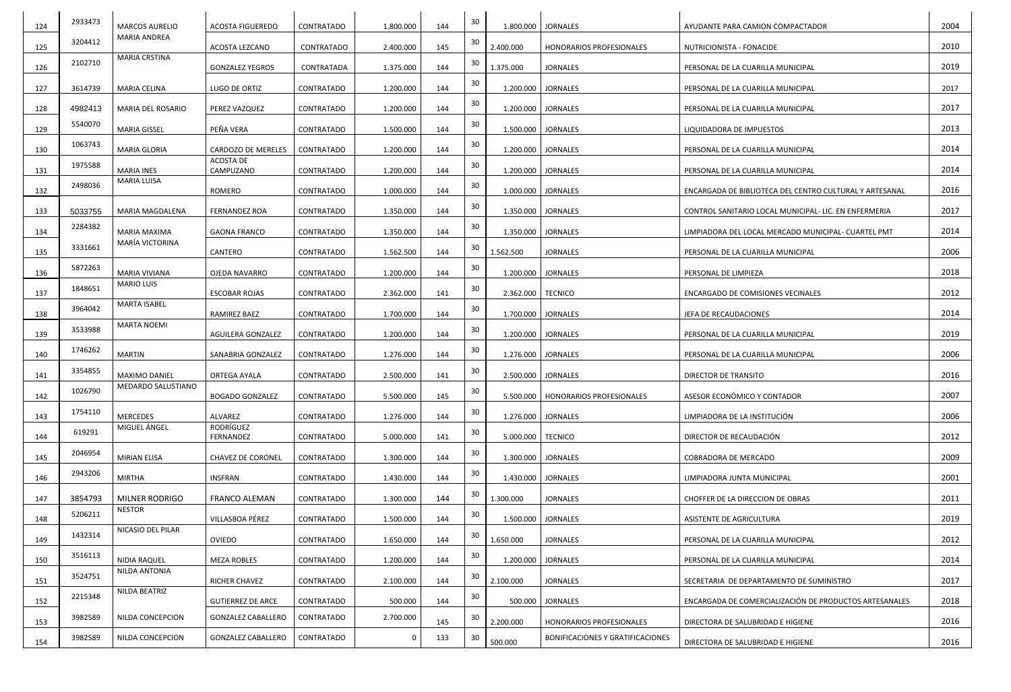| 124 | 2933473 | <b>MARCOS AURELIO</b> | <b>ACOSTA FIGUEREDO</b>   | CONTRATADO | 1.800.000 | 144 | 30 |                     | 1.800.000   JORNALES                    | AYUDANTE PARA CAMION COMPACTADOR                        | 2004 |
|-----|---------|-----------------------|---------------------------|------------|-----------|-----|----|---------------------|-----------------------------------------|---------------------------------------------------------|------|
| 125 | 3204412 | MARIA ANDREA          | ACOSTA LEZCANO            | CONTRATADO | 2.400.000 | 145 | 30 | 2.400.000           | <b>HONORARIOS PROFESIONALES</b>         | NUTRICIONISTA - FONACIDE                                | 2010 |
| 126 | 2102710 | <b>MARIA CRSTINA</b>  | <b>GONZALEZ YEGROS</b>    | CONTRATADA | 1.375.000 | 144 | 30 | 1.375.000           | <b>JORNALES</b>                         | PERSONAL DE LA CUARILLA MUNICIPAL                       | 2019 |
| 127 | 3614739 | MARIA CELINA          | LUGO DE ORTIZ             | CONTRATADO | 1.200.000 | 144 | 30 |                     | 1.200.000   JORNALES                    | PERSONAL DE LA CUARILLA MUNICIPAL                       | 2017 |
| 128 | 4982413 | MARIA DEL ROSARIO     | PEREZ VAZQUEZ             | CONTRATADO | 1.200.000 | 144 | 30 |                     | 1.200.000   JORNALES                    | PERSONAL DE LA CUARILLA MUNICIPAL                       | 2017 |
| 129 | 5540070 | <b>MARIA GISSEL</b>   | PEÑA VERA                 | CONTRATADO | 1.500.000 | 144 | 30 |                     | 1.500.000   JORNALES                    | LIQUIDADORA DE IMPUESTOS                                | 2013 |
| 130 | 1063743 | <b>MARIA GLORIA</b>   | CARDOZO DE MERELES        | CONTRATADO | 1.200.000 | 144 | 30 |                     | 1.200.000   JORNALES                    | PERSONAL DE LA CUARILLA MUNICIPAL                       | 2014 |
| 131 | 1975588 | <b>MARIA INES</b>     | ACOSTA DE<br>CAMPUZANO    | CONTRATADO | 1.200.000 | 144 | 30 |                     | 1.200.000   JORNALES                    | PERSONAL DE LA CUARILLA MUNICIPAL                       | 2014 |
| 132 | 2498036 | MARIA LUISA           | ROMERO                    | CONTRATADO | 1.000.000 | 144 | 30 |                     | 1.000.000   JORNALES                    | ENCARGADA DE BIBLIOTECA DEL CENTRO CULTURAL Y ARTESANAL | 2016 |
| 133 | 5033755 | MARIA MAGDALENA       | <b>FERNANDEZ ROA</b>      | CONTRATADO | 1.350.000 | 144 | 30 |                     | 1.350.000   JORNALES                    | CONTROL SANITARIO LOCAL MUNICIPAL- LIC. EN ENFERMERIA   | 2017 |
| 134 | 2284382 | MARIA MAXIMA          | <b>GAONA FRANCO</b>       | CONTRATADO | 1.350.000 | 144 | 30 |                     | 1.350.000   JORNALES                    | LIMPIADORA DEL LOCAL MERCADO MUNICIPAL- CUARTEL PMT     | 2014 |
| 135 | 3331661 | MARÍA VICTORINA       | CANTERO                   | CONTRATADO | 1.562.500 | 144 | 30 | 1.562.500           | <b>JORNALES</b>                         | PERSONAL DE LA CUARILLA MUNICIPAL                       | 2006 |
| 136 | 5872263 | <b>MARIA VIVIANA</b>  | OJEDA NAVARRO             | CONTRATADO | 1.200.000 | 144 | 30 |                     | 1.200.000   JORNALES                    | PERSONAL DE LIMPIEZA                                    | 2018 |
| 137 | 1848651 | <b>MARIO LUIS</b>     | <b>ESCOBAR ROJAS</b>      | CONTRATADO | 2.362.000 | 141 | 30 | 2.362.000   TECNICO |                                         | <b>ENCARGADO DE COMISIONES VECINALES</b>                | 2012 |
| 138 | 3964042 | <b>MARTA ISABEL</b>   | RAMIREZ BAEZ              | CONTRATADO | 1.700.000 | 144 | 30 |                     | 1.700.000   JORNALES                    | JEFA DE RECAUDACIONES                                   | 2014 |
| 139 | 3533988 | MARTA NOEMI           | <b>AGUILERA GONZALEZ</b>  | CONTRATADO | 1.200.000 | 144 | 30 |                     | 1.200.000   JORNALES                    | PERSONAL DE LA CUARILLA MUNICIPAL                       | 2019 |
| 140 | 1746262 | MARTIN                | SANABRIA GONZALEZ         | CONTRATADO | 1.276.000 | 144 | 30 |                     | 1.276.000   JORNALES                    | PERSONAL DE LA CUARILLA MUNICIPAL                       | 2006 |
| 141 | 3354855 | MAXIMO DANIEL         | ORTEGA AYALA              | CONTRATADO | 2.500.000 | 141 | 30 |                     | 2.500.000 JORNALES                      | <b>DIRECTOR DE TRANSITO</b>                             | 2016 |
| 142 | 1026790 | MEDARDO SALUSTIANO    | <b>BOGADO GONZALEZ</b>    | CONTRATADO | 5.500.000 | 145 | 30 |                     | 5.500.000   HONORARIOS PROFESIONALES    | ASESOR ECONÓMICO Y CONTADOR                             | 2007 |
| 143 | 1754110 | <b>MERCEDES</b>       | ALVAREZ                   | CONTRATADO | 1.276.000 | 144 | 30 |                     | 1.276.000   JORNALES                    | LIMPIADORA DE LA INSTITUCIÓN                            | 2006 |
| 144 | 619291  | MIGUEL ÁNGEL          | RODRÍGUEZ<br>FERNANDEZ    | CONTRATADO | 5.000.000 | 141 | 30 | 5.000.000   TECNICO |                                         | DIRECTOR DE RECAUDACIÓN                                 | 2012 |
| 145 | 2046954 | <b>MIRIAN ELISA</b>   | <b>CHAVEZ DE CORONEL</b>  | CONTRATADO | 1.300.000 | 144 | 30 |                     | 1.300.000   JORNALES                    | COBRADORA DE MERCADO                                    | 2009 |
| 146 | 2943206 | MIRTHA                | <b>INSFRAN</b>            | CONTRATADO | 1.430.000 | 144 | 30 |                     | 1.430.000 JORNALES                      | LIMPIADORA JUNTA MUNICIPAL                              | 2001 |
| 147 | 3854793 | <b>MILNER RODRIGO</b> | <b>FRANCO ALEMAN</b>      | CONTRATADO | 1.300.000 | 144 | 30 | 1.300.000           | <b>JORNALES</b>                         | CHOFFER DE LA DIRECCION DE OBRAS                        | 2011 |
| 148 | 5206211 | <b>NESTOR</b>         | VILLASBOA PÉREZ           | CONTRATADO | 1.500.000 | 144 | 30 |                     | 1.500.000   JORNALES                    | ASISTENTE DE AGRICULTURA                                | 2019 |
| 149 | 1432314 | NICASIO DEL PILAR     | <b>OVIEDO</b>             | CONTRATADO | 1.650.000 | 144 | 30 | 1.650.000           | <b>JORNALES</b>                         | PERSONAL DE LA CUARILLA MUNICIPAL                       | 2012 |
| 150 | 3516113 | NIDIA RAQUEL          | <b>MEZA ROBLES</b>        | CONTRATADO | 1.200.000 | 144 | 30 |                     | 1.200.000   JORNALES                    | PERSONAL DE LA CUARILLA MUNICIPAL                       | 2014 |
| 151 | 3524751 | NILDA ANTONIA         | RICHER CHAVEZ             | CONTRATADO | 2.100.000 | 144 | 30 | 2.100.000           | <b>JORNALES</b>                         | SECRETARIA DE DEPARTAMENTO DE SUMINISTRO                | 2017 |
| 152 | 2215348 | NILDA BEATRIZ         | <b>GUTIERREZ DE ARCE</b>  | CONTRATADO | 500.000   | 144 | 30 |                     | 500.000   JORNALES                      | ENCARGADA DE COMERCIALIZACIÓN DE PRODUCTOS ARTESANALES  | 2018 |
| 153 | 3982589 | NILDA CONCEPCION      | <b>GONZALEZ CABALLERO</b> | CONTRATADO | 2.700.000 | 145 | 30 | 2.200.000           | HONORARIOS PROFESIONALES                | DIRECTORA DE SALUBRIDAD E HIGIENE                       | 2016 |
| 154 | 3982589 | NILDA CONCEPCION      | <b>GONZALEZ CABALLERO</b> | CONTRATADO |           | 133 | 30 | 500.000             | <b>BONIFICACIONES Y GRATIFICACIONES</b> | DIRECTORA DE SALUBRIDAD E HIGIENE                       | 2016 |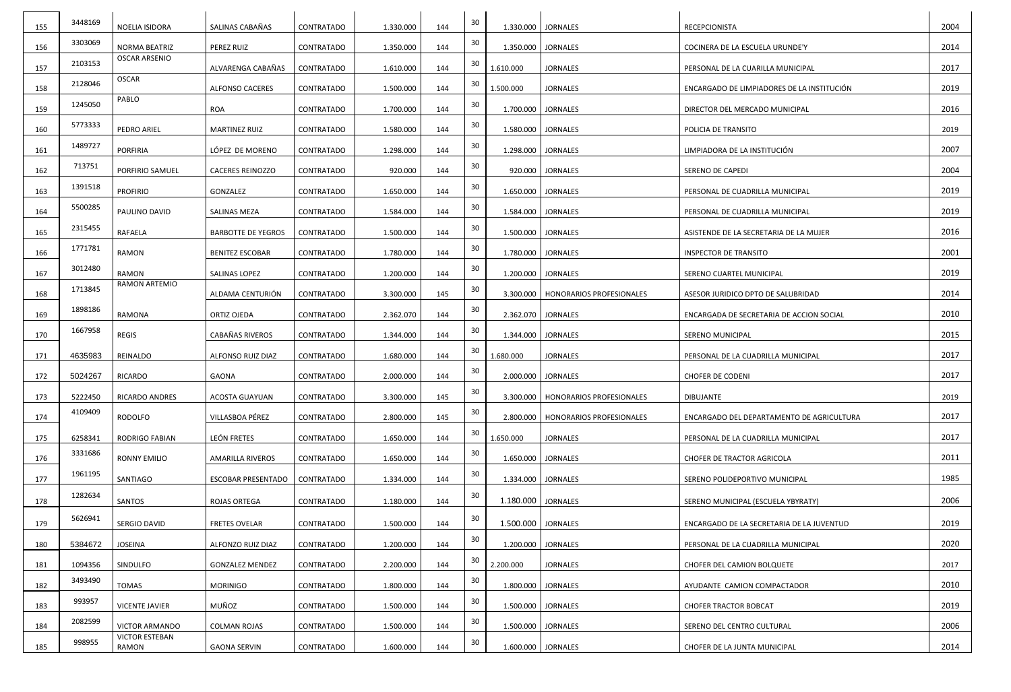| 155        | 3448169 | NOELIA ISIDORA                 | SALINAS CABAÑAS           | CONTRATADO | 1.330.000 | 144 | 30 |                    | 1.330.000   JORNALES            | RECEPCIONISTA                              | 2004 |
|------------|---------|--------------------------------|---------------------------|------------|-----------|-----|----|--------------------|---------------------------------|--------------------------------------------|------|
| 156        | 3303069 | <b>NORMA BEATRIZ</b>           | PEREZ RUIZ                | CONTRATADO | 1.350.000 | 144 | 30 |                    | 1.350.000   JORNALES            | COCINERA DE LA ESCUELA URUNDE'Y            | 2014 |
|            | 2103153 | <b>OSCAR ARSENIO</b>           | ALVARENGA CABAÑAS         | CONTRATADO | 1.610.000 | 144 | 30 | 1.610.000          | <b>JORNALES</b>                 | PERSONAL DE LA CUARILLA MUNICIPAL          | 2017 |
| 157<br>158 | 2128046 | <b>OSCAR</b>                   | <b>ALFONSO CACERES</b>    | CONTRATADO | 1.500.000 | 144 | 30 | 1.500.000          | <b>JORNALES</b>                 | ENCARGADO DE LIMPIADORES DE LA INSTITUCIÓN | 2019 |
| 159        | 1245050 | PABLO                          | ROA                       | CONTRATADO | 1.700.000 | 144 | 30 | 1.700.000          | <b>JORNALES</b>                 | DIRECTOR DEL MERCADO MUNICIPAL             | 2016 |
| 160        | 5773333 | PEDRO ARIEL                    | <b>MARTINEZ RUIZ</b>      | CONTRATADO | 1.580.000 | 144 | 30 | 1.580.000          | <b>JORNALES</b>                 | POLICIA DE TRANSITO                        | 2019 |
| 161        | 1489727 | PORFIRIA                       | LÓPEZ DE MORENO           | CONTRATADO | 1.298.000 | 144 | 30 |                    | 1.298.000   JORNALES            | LIMPIADORA DE LA INSTITUCIÓN               | 2007 |
| 162        | 713751  | PORFIRIO SAMUEL                | <b>CACERES REINOZZO</b>   | CONTRATADO | 920.000   | 144 | 30 |                    | 920.000   JORNALES              | <b>SERENO DE CAPEDI</b>                    | 2004 |
| 163        | 1391518 | <b>PROFIRIO</b>                | GONZALEZ                  | CONTRATADO | 1.650.000 | 144 | 30 | 1.650.000          | <b>JORNALES</b>                 | PERSONAL DE CUADRILLA MUNICIPAL            | 2019 |
| 164        | 5500285 | PAULINO DAVID                  | <b>SALINAS MEZA</b>       | CONTRATADO | 1.584.000 | 144 | 30 | 1.584.000          | <b>JORNALES</b>                 | PERSONAL DE CUADRILLA MUNICIPAL            | 2019 |
| 165        | 2315455 | RAFAELA                        | <b>BARBOTTE DE YEGROS</b> | CONTRATADO | 1.500.000 | 144 | 30 | 1.500.000          | <b>JORNALES</b>                 | ASISTENDE DE LA SECRETARIA DE LA MUJER     | 2016 |
| 166        | 1771781 | <b>RAMON</b>                   | <b>BENITEZ ESCOBAR</b>    | CONTRATADO | 1.780.000 | 144 | 30 |                    | 1.780.000   JORNALES            | <b>INSPECTOR DE TRANSITO</b>               | 2001 |
| 167        | 3012480 | <b>RAMON</b>                   | SALINAS LOPEZ             | CONTRATADO | 1.200.000 | 144 | 30 |                    | 1.200.000 JORNALES              | SERENO CUARTEL MUNICIPAL                   | 2019 |
| 168        | 1713845 | <b>RAMON ARTEMIO</b>           | ALDAMA CENTURIÓN          | CONTRATADO | 3.300.000 | 145 | 30 | 3.300.000          | <b>HONORARIOS PROFESIONALES</b> | ASESOR JURIDICO DPTO DE SALUBRIDAD         | 2014 |
| 169        | 1898186 | RAMONA                         | ORTIZ OJEDA               | CONTRATADO | 2.362.070 | 144 | 30 |                    | 2.362.070 JORNALES              | ENCARGADA DE SECRETARIA DE ACCION SOCIAL   | 2010 |
| 170        | 1667958 | <b>REGIS</b>                   | CABAÑAS RIVEROS           | CONTRATADO | 1.344.000 | 144 | 30 | 1.344.000          | <b>JORNALES</b>                 | <b>SERENO MUNICIPAL</b>                    | 2015 |
| 171        | 4635983 | REINALDO                       | ALFONSO RUIZ DIAZ         | CONTRATADO | 1.680.000 | 144 | 30 | 1.680.000          | <b>JORNALES</b>                 | PERSONAL DE LA CUADRILLA MUNICIPAL         | 2017 |
| 172        | 5024267 | <b>RICARDO</b>                 | GAONA                     | CONTRATADO | 2.000.000 | 144 | 30 |                    | 2.000.000 JORNALES              | <b>CHOFER DE CODENI</b>                    | 2017 |
| 173        | 5222450 | <b>RICARDO ANDRES</b>          | <b>ACOSTA GUAYUAN</b>     | CONTRATADO | 3.300.000 | 145 | 30 | 3.300.000          | <b>HONORARIOS PROFESIONALES</b> | <b>DIBUJANTE</b>                           | 2019 |
| 174        | 4109409 | RODOLFO                        | VILLASBOA PÉREZ           | CONTRATADO | 2.800.000 | 145 | 30 | 2.800.000          | HONORARIOS PROFESIONALES        | ENCARGADO DEL DEPARTAMENTO DE AGRICULTURA  | 2017 |
| 175        | 6258341 | <b>RODRIGO FABIAN</b>          | LEÓN FRETES               | CONTRATADO | 1.650.000 | 144 | 30 | 1.650.000          | <b>JORNALES</b>                 | PERSONAL DE LA CUADRILLA MUNICIPAL         | 2017 |
| 176        | 3331686 | <b>RONNY EMILIO</b>            | <b>AMARILLA RIVEROS</b>   | CONTRATADO | 1.650.000 | 144 | 30 |                    | 1.650.000   JORNALES            | CHOFER DE TRACTOR AGRICOLA                 | 2011 |
| 177        | 1961195 | SANTIAGO                       | ESCOBAR PRESENTADO        | CONTRATADO | 1.334.000 | 144 | 30 |                    | 1.334.000   JORNALES            | SERENO POLIDEPORTIVO MUNICIPAL             | 1985 |
| 178        | 1282634 | SANTOS                         | ROJAS ORTEGA              | CONTRATADO | 1.180.000 | 144 | 30 | 1.180.000 JORNALES |                                 | SERENO MUNICIPAL (ESCUELA YBYRATY)         | 2006 |
| 179        | 5626941 | SERGIO DAVID                   | <b>FRETES OVELAR</b>      | CONTRATADO | 1.500.000 | 144 | 30 | 1.500.000 JORNALES |                                 | ENCARGADO DE LA SECRETARIA DE LA JUVENTUD  | 2019 |
| 180        | 5384672 | <b>JOSEINA</b>                 | ALFONZO RUIZ DIAZ         | CONTRATADO | 1.200.000 | 144 | 30 |                    | 1.200.000   JORNALES            | PERSONAL DE LA CUADRILLA MUNICIPAL         | 2020 |
| 181        | 1094356 | SINDULFO                       | <b>GONZALEZ MENDEZ</b>    | CONTRATADO | 2.200.000 | 144 | 30 | 2.200.000          | <b>JORNALES</b>                 | CHOFER DEL CAMION BOLQUETE                 | 2017 |
| 182        | 3493490 | <b>TOMAS</b>                   | <b>MORINIGO</b>           | CONTRATADO | 1.800.000 | 144 | 30 |                    | 1.800.000   JORNALES            | AYUDANTE CAMION COMPACTADOR                | 2010 |
| 183        | 993957  | <b>VICENTE JAVIER</b>          | MUÑOZ                     | CONTRATADO | 1.500.000 | 144 | 30 |                    | 1.500.000   JORNALES            | <b>CHOFER TRACTOR BOBCAT</b>               | 2019 |
| 184        | 2082599 | <b>VICTOR ARMANDO</b>          | COLMAN ROJAS              | CONTRATADO | 1.500.000 | 144 | 30 |                    | 1.500.000   JORNALES            | SERENO DEL CENTRO CULTURAL                 | 2006 |
| 185        | 998955  | <b>VICTOR ESTEBAN</b><br>RAMON | <b>GAONA SERVIN</b>       | CONTRATADO | 1.600.000 | 144 | 30 |                    | 1.600.000 JORNALES              | CHOFER DE LA JUNTA MUNICIPAL               | 2014 |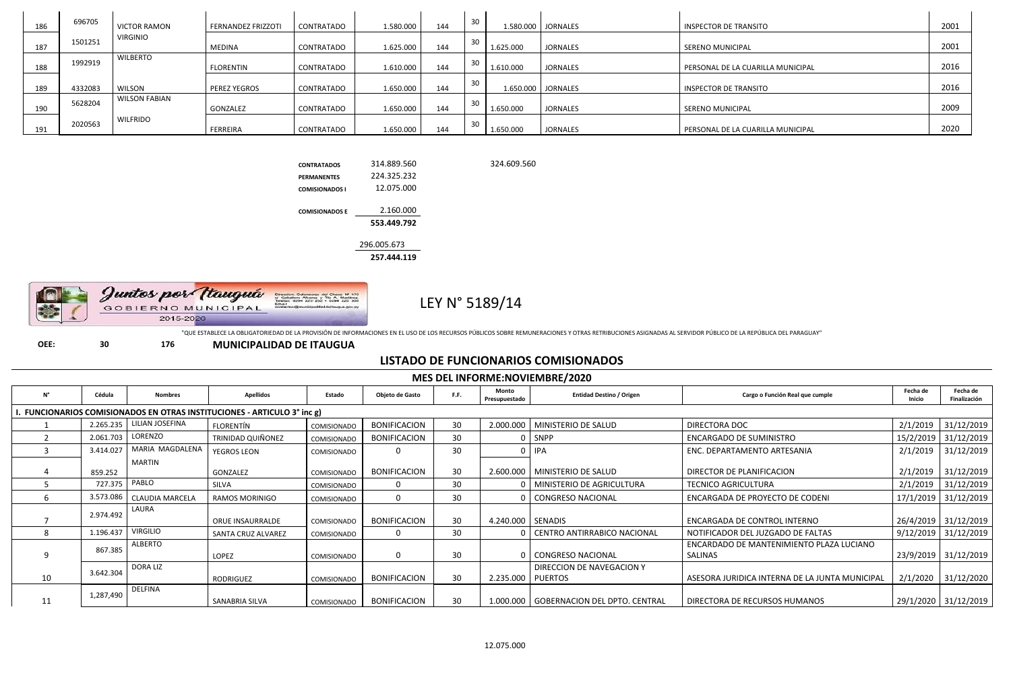| 186 | 696705  | <b>VICTOR RAMON</b>  | <b>FERNANDEZ FRIZZOTI</b> | CONTRATADO        | 1.580.000 | 144 | 30     |           | L.580.000   JORNALES | INSPECTOR DE TRANSITO             | 2001 |
|-----|---------|----------------------|---------------------------|-------------------|-----------|-----|--------|-----------|----------------------|-----------------------------------|------|
| 187 | 1501251 | <b>VIRGINIO</b>      | <b>MEDINA</b>             | CONTRATADO        | 1.625.000 | 144 |        | 1.625.000 | <b>JORNALES</b>      | SERENO MUNICIPAL                  | 2001 |
| 188 | 1992919 | <b>WILBERTO</b>      | <b>FLORENTIN</b>          | CONTRATADO        | 1.610.000 | 144 | اک     | 1.610.000 | <b>JORNALES</b>      | PERSONAL DE LA CUARILLA MUNICIPAL | 2016 |
| 189 | 4332083 | <b>WILSON</b>        | <b>PEREZ YEGROS</b>       | <b>CONTRATADO</b> | 1.650.000 | 144 | 30     |           | 1.650.000   JORNALES | INSPECTOR DE TRANSITO             | 2016 |
| 190 | 5628204 | <b>WILSON FABIAN</b> | GONZALEZ                  | CONTRATADO        | 1.650.000 | 144 |        | 1.650.000 | <b>JORNALES</b>      | SERENO MUNICIPAL                  | 2009 |
| 191 | 2020563 | <b>WILFRIDO</b>      | FERREIRA                  | CONTRATADO        | 1.650.000 | 144 | $\sim$ | 1.650.000 | <b>JORNALES</b>      | PERSONAL DE LA CUARILLA MUNICIPAL | 2020 |

324.609.560



|                       | 257.444.119 |
|-----------------------|-------------|
|                       | 296.005.673 |
|                       | 553.449.792 |
| <b>COMISIONADOS F</b> | 2.160.000   |
| <b>COMISIONADOS I</b> | 12.075.000  |
| <b>PERMANENTES</b>    | 224.325.232 |
| <b>CONTRATADOS</b>    | 314.889.560 |

LEY N° 5189/14

Juntos por Itauguá GOBIERNO MUNICIPAL 2015-2020

"QUE ESTABLECE LA OBLIGATORIEDAD DE LA PROVISIÓN DE INFORMACIONES EN EL USO DE LOS RECURSOS PÚBLICOS SOBRE REMUNERACIONES Y OTRAS RETRIBUCIONES ASIGNADAS AL SERVIDOR PÚBLICO DE LA REPÚBLICA DEL PARAGUAY"

**OEE: 30 176 MUNICIPALIDAD DE ITAUGUA**

## **LISTADO DE FUNCIONARIOS COMISIONADOS**

|             | <b>MES DEL INFORME:NOVIEMBRE/2020</b> |                        |                                                                         |             |                     |      |                        |                                           |                                                     |                    |                          |  |  |
|-------------|---------------------------------------|------------------------|-------------------------------------------------------------------------|-------------|---------------------|------|------------------------|-------------------------------------------|-----------------------------------------------------|--------------------|--------------------------|--|--|
| $N^{\circ}$ | Cédula                                | <b>Nombres</b>         | <b>Apellidos</b>                                                        | Estado      | Objeto de Gasto     | F.F. | Monto<br>Presupuestado | <b>Entidad Destino / Origen</b>           | Cargo o Función Real que cumple                     | Fecha de<br>Inicio | Fecha de<br>Finalización |  |  |
|             |                                       |                        | . FUNCIONARIOS COMISIONADOS EN OTRAS INSTITUCIONES - ARTICULO 3° inc g) |             |                     |      |                        |                                           |                                                     |                    |                          |  |  |
|             | 2.265.235                             | LILIAN JOSEFINA        | FLORENTÍN                                                               | COMISIONADO | <b>BONIFICACION</b> | 30   |                        | 2.000.000   MINISTERIO DE SALUD           | DIRECTORA DOC                                       | 2/1/2019           | 31/12/2019               |  |  |
|             | 2.061.703                             | LORENZO                | <b>TRINIDAD QUIÑONEZ</b>                                                | COMISIONADO | <b>BONIFICACION</b> | 30   |                        | SNPP                                      | <b>ENCARGADO DE SUMINISTRO</b>                      | 15/2/2019          | 31/12/2019               |  |  |
|             | 3.414.027                             | MARIA MAGDALENA        | <b>YEGROS LEON</b>                                                      | COMISIONADO | 0                   | 30   |                        | <b>IPA</b>                                | ENC. DEPARTAMENTO ARTESANIA                         | 2/1/2019           | 31/12/2019               |  |  |
|             | 859.252                               | <b>MARTIN</b>          | GONZALEZ                                                                | COMISIONADO | <b>BONIFICACION</b> | 30   |                        | 2.600.000   MINISTERIO DE SALUD           | DIRECTOR DE PLANIFICACION                           | 2/1/2019           | 31/12/2019               |  |  |
|             | 727.375                               | PABLO                  | SILVA                                                                   | COMISIONADO |                     | 30   |                        | MINISTERIO DE AGRICULTURA                 | <b>TECNICO AGRICULTURA</b>                          | 2/1/2019           | 31/12/2019               |  |  |
|             | 3.573.086                             | <b>CLAUDIA MARCELA</b> | <b>RAMOS MORINIGO</b>                                                   | COMISIONADO | $\Omega$            | 30   |                        | CONGRESO NACIONAL                         | ENCARGADA DE PROYECTO DE CODENI                     | 17/1/2019          | 31/12/2019               |  |  |
|             | 2.974.492                             | LAURA                  | <b>ORUE INSAURRALDE</b>                                                 | COMISIONADO | <b>BONIFICACION</b> | 30   | 4.240.000 SENADIS      |                                           | ENCARGADA DE CONTROL INTERNO                        |                    | 26/4/2019 31/12/2019     |  |  |
| 8           | 1.196.437                             | <b>VIRGILIO</b>        | <b>SANTA CRUZ ALVAREZ</b>                                               | COMISIONADO | 0                   | 30   |                        | CENTRO ANTIRRABICO NACIONAL               | NOTIFICADOR DEL JUZGADO DE FALTAS                   | 9/12/2019          | 31/12/2019               |  |  |
| 9           | 867.385                               | ALBERTO                | LOPEZ                                                                   | COMISIONADO | $\mathbf 0$         | 30   |                        | 0   CONGRESO NACIONAL                     | ENCARDADO DE MANTENIMIENTO PLAZA LUCIANO<br>SALINAS |                    | 23/9/2019 31/12/2019     |  |  |
| 10          | 3.642.304                             | <b>DORA LIZ</b>        | RODRIGUEZ                                                               | COMISIONADO | <b>BONIFICACION</b> | 30   | 2.235.000   PUERTOS    | DIRECCION DE NAVEGACION Y                 | ASESORA JURIDICA INTERNA DE LA JUNTA MUNICIPAL      | 2/1/2020           | 31/12/2020               |  |  |
| 11          | 1,287,490                             | <b>DELFINA</b>         | SANABRIA SILVA                                                          | COMISIONADO | <b>BONIFICACION</b> | 30   |                        | 1.000.000   GOBERNACION DEL DPTO. CENTRAL | DIRECTORA DE RECURSOS HUMANOS                       |                    | 29/1/2020 31/12/2019     |  |  |